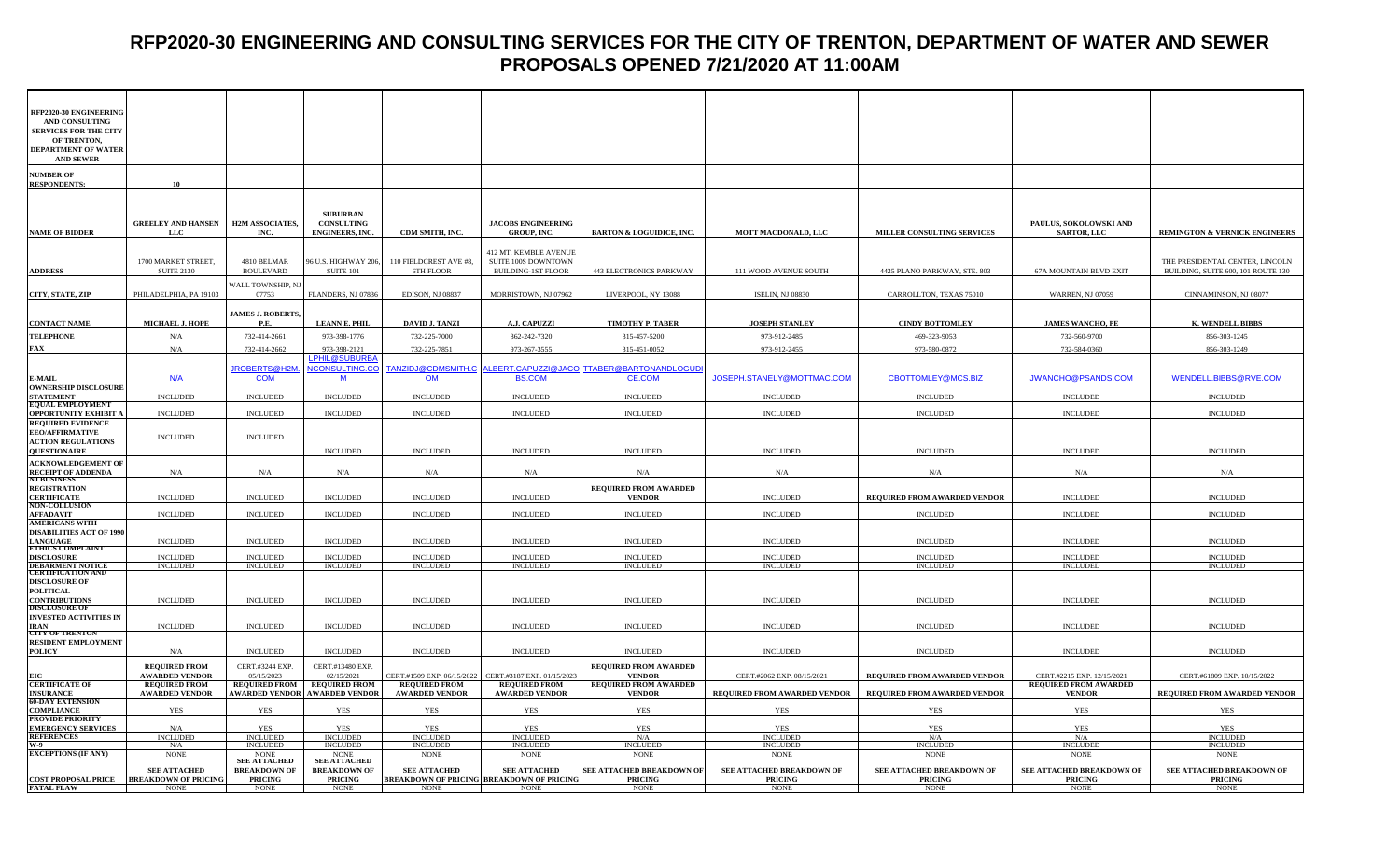#### **RFP2020-30 ENGINEERING AND CONSULTING SERVICES FOR THE CITY OF TRENTON, DEPARTMENT OF WATER AND SEWER PROPOSALS OPENED 7/21/2020 AT 11:00AM**

| <b>AND SEWER</b><br><b>NUMBER OF</b><br>10<br><b>SUBURBAN</b><br><b>GREELEY AND HANSEN</b><br><b>H2M ASSOCIATES,</b><br><b>CONSULTING</b><br><b>JACOBS ENGINEERING</b><br>PAULUS, SOKOLOWSKI AND<br>MILLER CONSULTING SERVICES<br><b>LLC</b><br>INC.<br><b>ENGINEERS, INC.</b><br>CDM SMITH, INC.<br>GROUP, INC.<br><b>BARTON &amp; LOGUIDICE, INC.</b><br>MOTT MACDONALD, LLC<br><b>SARTOR, LLC</b><br><b>REMINGTON &amp; VERNICK ENGINEERS</b><br>412 MT. KEMBLE AVENUE<br>1700 MARKET STREET,<br>4810 BELMAR<br>96 U.S. HIGHWAY 206,<br>110 FIELDCREST AVE #8,<br>SUITE 100S DOWNTOWN<br>THE PRESIDENTAL CENTER, LINCOLN<br><b>ADDRESS</b><br><b>BOULEVARD</b><br><b>SUITE 101</b><br><b>BUILDING-1ST FLOOR</b><br>443 ELECTRONICS PARKWAY<br>BUILDING, SUITE 600, 101 ROUTE 130<br><b>SUITE 2130</b><br>6TH FLOOR<br>111 WOOD AVENUE SOUTH<br>4425 PLANO PARKWAY, STE. 803<br>67A MOUNTAIN BLVD EXIT<br>WALL TOWNSHIP, NJ<br>CITY, STATE, ZIP<br>PHILADELPHIA, PA 19103<br>07753<br>FLANDERS, NJ 07836<br>EDISON, NJ 08837<br>MORRISTOWN, NJ 07962<br>LIVERPOOL, NY 13088<br><b>ISELIN, NJ 08830</b><br>CARROLLTON, TEXAS 75010<br><b>WARREN, NJ 07059</b><br>CINNAMINSON, NJ 08077<br><b>JAMES J. ROBERTS,</b><br>MICHAEL J. HOPE<br><b>LEANN E. PHIL</b><br><b>DAVID J. TANZI</b><br>A.J. CAPUZZI<br><b>TIMOTHY P. TABER</b><br><b>JOSEPH STANLEY</b><br><b>CINDY BOTTOMLEY</b><br><b>JAMES WANCHO, PE</b><br><b>K. WENDELL BIBBS</b><br>P.E.<br>732-414-2661<br>973-398-1776<br>732-225-7000<br>862-242-7320<br>315-457-5200<br>973-912-2485<br>469-323-9053<br>732-560-9700<br>856-303-1245<br>N/A<br>FAX<br>973-267-3555<br>732-414-2662<br>732-225-7851<br>315-451-0052<br>973-912-2455<br>973-580-0872<br>732-584-0360<br>856-303-1249<br>N/A<br>973-398-2121<br>LPHIL@SUBURB.<br><b>ICONSULTING.CO</b><br><b>LBERT.CAPUZZI@JACO</b><br><b>TTABER@BARTONANDLOGUI</b><br>ROBERTS@H2M.<br>TANZIDJ@CDMSMITH.C<br>WENDELL.BIBBS@RVE.COM<br><b>COM</b><br><b>BS.COM</b><br><b>CE.COM</b><br>JOSEPH.STANELY@MOTTMAC.COM<br>CBOTTOMLEY@MCS.BIZ<br>JWANCHO@PSANDS.COM<br>N/A<br>M<br>OM<br><b>OWNERSHIP DISCLOSURE</b><br><b>INCLUDED</b><br><b>INCLUDED</b><br><b>INCLUDED</b><br><b>INCLUDED</b><br><b>INCLUDED</b><br><b>INCLUDED</b><br><b>INCLUDED</b><br><b>INCLUDED</b><br><b>INCLUDED</b><br><b>INCLUDED</b><br><b>EQUAL EMPLOYMENT</b><br><b>OPPORTUNITY EXHIBIT A</b><br><b>INCLUDED</b><br><b>INCLUDED</b><br><b>INCLUDED</b><br><b>INCLUDED</b><br><b>INCLUDED</b><br><b>INCLUDED</b><br><b>INCLUDED</b><br><b>INCLUDED</b><br><b>INCLUDED</b><br><b>INCLUDED</b><br><b>EEO/AFFIRMATIVE</b><br><b>INCLUDED</b><br><b>INCLUDED</b><br><b>QUESTIONAIRE</b><br><b>INCLUDED</b><br><b>INCLUDED</b><br><b>INCLUDED</b><br><b>INCLUDED</b><br><b>INCLUDED</b><br><b>INCLUDED</b><br><b>INCLUDED</b><br><b>INCLUDED</b><br>RECEIPT OF ADDENDA<br>NJ BUSINESS<br>N/A<br>N/A<br>N/A<br>N/A<br>N/A<br>N/A<br>N/A<br>N/A<br>N/A<br>N/A<br><b>REQUIRED FROM AWARDED</b><br><b>INCLUDED</b><br><b>INCLUDED</b><br><b>INCLUDED</b><br><b>INCLUDED</b><br><b>INCLUDED</b><br><b>INCLUDED</b><br><b>INCLUDED</b><br><b>VENDOR</b><br>REQUIRED FROM AWARDED VENDOR<br><b>INCLUDED</b><br><b>NON-COLLUSION</b><br><b>INCLUDED</b><br><b>INCLUDED</b><br><b>INCLUDED</b><br><b>INCLUDED</b><br><b>INCLUDED</b><br><b>INCLUDED</b><br><b>INCLUDED</b><br><b>INCLUDED</b><br><b>INCLUDED</b><br><b>INCLUDED</b><br><b>AMERICANS WITH</b><br><b>LANGUAGE<br/>ETHICS COMPLAINT</b><br><b>INCLUDED</b><br><b>INCLUDED</b><br><b>INCLUDED</b><br><b>INCLUDED</b><br><b>INCLUDED</b><br><b>INCLUDED</b><br><b>INCLUDED</b><br><b>INCLUDED</b><br><b>INCLUDED</b><br><b>INCLUDED</b><br><b>DISCLOSURE</b><br><b>INCLUDED</b><br><b>INCLUDED</b><br><b>INCLUDED</b><br><b>INCLUDED</b><br><b>INCLUDED</b><br><b>INCLUDED</b><br><b>INCLUDED</b><br><b>INCLUDED</b><br><b>INCLUDED</b><br><b>INCLUDED</b><br>DEBARMENT NOTICE<br>CERTIFICATION AND<br><b>INCLUDED</b><br><b>INCLUDED</b><br><b>INCLUDED</b><br><b>INCLUDED</b><br><b>INCLUDED</b><br><b>INCLUDED</b><br><b>INCLUDED</b><br><b>INCLUDED</b><br><b>INCLUDED</b><br><b>INCLUDED</b><br><b>CONTRIBUTIONS</b><br>DISCLOSURE OF<br><b>INCLUDED</b><br><b>INCLUDED</b><br><b>INCLUDED</b><br><b>INCLUDED</b><br><b>INCLUDED</b><br><b>INCLUDED</b><br><b>INCLUDED</b><br><b>INCLUDED</b><br><b>INCLUDED</b><br><b>INCLUDED</b><br><b>INVESTED ACTIVITIES IN</b><br><b>INCLUDED</b><br><b>INCLUDED</b><br><b>INCLUDED</b><br><b>INCLUDED</b><br><b>INCLUDED</b><br><b>INCLUDED</b><br><b>INCLUDED</b><br><b>INCLUDED</b><br><b>INCLUDED</b><br><b>INCLUDED</b><br><b>CITY OF TRENTON</b><br>POLICY<br><b>INCLUDED</b><br><b>INCLUDED</b><br><b>INCLUDED</b><br><b>INCLUDED</b><br><b>INCLUDED</b><br><b>INCLUDED</b><br><b>INCLUDED</b><br><b>INCLUDED</b><br>N/A<br><b>INCLUDED</b><br><b>REQUIRED FROM</b><br>CERT.#3244 EXP.<br>CERT.#13480 EXP.<br><b>REQUIRED FROM AWARDED</b><br><b>AWARDED VENDOR</b><br>02/15/2021<br>05/15/2023<br>CERT.#1509 EXP. 06/15/2022<br>CERT.#3187 EXP. 01/15/202.<br><b>VENDOR</b><br>CERT.#2062 EXP. 08/15/2021<br>REQUIRED FROM AWARDED VENDOR<br>CERT.#2215 EXP. 12/15/2021<br>CERT.#61809 EXP. 10/15/2022<br><b>CERTIFICATE OF</b><br><b>REQUIRED FROM</b><br><b>REQUIRED FROM</b><br><b>REQUIRED FROM</b><br><b>REQUIRED FROM</b><br><b>REQUIRED FROM</b><br><b>REQUIRED FROM AWARDED</b><br><b>REQUIRED FROM AWARDED</b><br><b>INSURANCE</b><br><b>AWARDED VENDOR</b><br><b>AWARDED VENDOR AWARDED VENDOR</b><br><b>AWARDED VENDOR</b><br><b>AWARDED VENDOR</b><br><b>VENDOR</b><br>REQUIRED FROM AWARDED VENDOR<br>REQUIRED FROM AWARDED VENDOR<br><b>VENDOR</b><br>REQUIRED FROM AWARDED VENDOR<br><b>COMPLIANCE</b><br><b>YES</b><br>YES<br>YES<br><b>YES</b><br>YES<br>YES<br><b>YES</b><br><b>YES</b><br><b>YES</b><br>YES<br><b>EMERGENCY SERVICES</b><br><b>YES</b><br><b>YES</b><br><b>YES</b><br>N/A<br><b>YES</b><br><b>YES</b><br><b>YES</b><br><b>YES</b><br><b>YES</b><br><b>YES</b><br><b>INCLUDED</b><br><b>INCLUDED</b><br><b>INCLUDED</b><br><b>INCLUDED</b><br><b>INCLUDED</b><br>N/A<br><b>INCLUDED</b><br>N/A<br>N/A<br><b>INCLUDED</b><br><b>INCLUDED</b><br>N/A<br>INCLUDED<br>INCLUDED<br>INCLUDED<br>INCLUDED<br><b>INCLUDED</b><br><b>INCLUDED</b><br><b>INCLUDED</b><br><b>INCLUDED</b><br><b>EXCEPTIONS (IF ANY)</b><br><b>NONE</b><br><b>NONE</b><br><b>NONE</b><br><b>NONE</b><br><b>NONE</b><br><b>NONE</b><br><b>NONE</b><br><b>NONE</b><br><b>NONE</b><br><b>NONE</b><br>E ATTACHED<br>E ATTACHED<br>SEE ATTACHED BREAKDOWN OF<br>SEE ATTACHED BREAKDOWN OF<br><b>SEE ATTACHED</b><br><b>BREAKDOWN OF</b><br><b>BREAKDOWN OF</b><br><b>SEE ATTACHED</b><br><b>SEE ATTACHED</b><br>SEE ATTACHED BREAKDOWN OF<br>SEE ATTACHED BREAKDOWN OF<br>SEE ATTACHED BREAKDOWN OF<br><b>COST PROPOSAL PRICE</b><br><b>BREAKDOWN OF PRICING</b><br><b>BREAKDOWN OF PRICING BREAKDOWN OF PRICING</b><br><b>PRICING</b><br><b>PRICING</b><br><b>PRICING</b><br><b>PRICING</b><br><b>PRICING</b><br><b>PRICING</b><br><b>PRICING</b><br><b>FATAL FLAW</b><br><b>NONE</b><br><b>NONE</b><br><b>NONE</b><br><b>NONE</b><br><b>NONE</b><br><b>NONE</b><br><b>NONE</b><br><b>NONE</b><br><b>NONE</b><br><b>NONE</b> | RFP2020-30 ENGINEERING<br><b>AND CONSULTING</b><br><b>SERVICES FOR THE CITY</b><br>OF TRENTON,<br><b>DEPARTMENT OF WATER</b> |  |  |  |  |  |
|--------------------------------------------------------------------------------------------------------------------------------------------------------------------------------------------------------------------------------------------------------------------------------------------------------------------------------------------------------------------------------------------------------------------------------------------------------------------------------------------------------------------------------------------------------------------------------------------------------------------------------------------------------------------------------------------------------------------------------------------------------------------------------------------------------------------------------------------------------------------------------------------------------------------------------------------------------------------------------------------------------------------------------------------------------------------------------------------------------------------------------------------------------------------------------------------------------------------------------------------------------------------------------------------------------------------------------------------------------------------------------------------------------------------------------------------------------------------------------------------------------------------------------------------------------------------------------------------------------------------------------------------------------------------------------------------------------------------------------------------------------------------------------------------------------------------------------------------------------------------------------------------------------------------------------------------------------------------------------------------------------------------------------------------------------------------------------------------------------------------------------------------------------------------------------------------------------------------------------------------------------------------------------------------------------------------------------------------------------------------------------------------------------------------------------------------------------------------------------------------------------------------------------------------------------------------------------------------------------------------------------------------------------------------------------------------------------------------------------------------------------------------------------------------------------------------------------------------------------------------------------------------------------------------------------------------------------------------------------------------------------------------------------------------------------------------------------------------------------------------------------------------------------------------------------------------------------------------------------------------------------------------------------------------------------------------------------------------------------------------------------------------------------------------------------------------------------------------------------------------------------------------------------------------------------------------------------------------------------------------------------------------------------------------------------------------------------------------------------------------------------------------------------------------------------------------------------------------------------------------------------------------------------------------------------------------------------------------------------------------------------------------------------------------------------------------------------------------------------------------------------------------------------------------------------------------------------------------------------------------------------------------------------------------------------------------------------------------------------------------------------------------------------------------------------------------------------------------------------------------------------------------------------------------------------------------------------------------------------------------------------------------------------------------------------------------------------------------------------------------------------------------------------------------------------------------------------------------------------------------------------------------------------------------------------------------------------------------------------------------------------------------------------------------------------------------------------------------------------------------------------------------------------------------------------------------------------------------------------------------------------------------------------------------------------------------------------------------------------------------------------------------------------------------------------------------------------------------------------------------------------------------------------------------------------------------------------------------------------------------------------------------------------------------------------------------------------------------------------------------------------------------------------------------------------------------------------------------------------------------------------------------------------------------------------------------------------------------------------------------------------------------------------------------------------------------------------------------------------------------------------------------------------------------------------------------------------------------------------------------------------------------------------------------------------------------------------------------------------------------------------------------------------------------------------------------------------------------------------------------------------------------------------------------------------------------------------------------------------------------------------------------------------------------------------------------------------------------------------------------------------------------------------------------------------------------------------------------------------------------------------------------------------------------------------------------------------------------------------------------------------------------------------------------------------------------------------------------------------------------------------------------------------------------------------------------------------------------|------------------------------------------------------------------------------------------------------------------------------|--|--|--|--|--|
|                                                                                                                                                                                                                                                                                                                                                                                                                                                                                                                                                                                                                                                                                                                                                                                                                                                                                                                                                                                                                                                                                                                                                                                                                                                                                                                                                                                                                                                                                                                                                                                                                                                                                                                                                                                                                                                                                                                                                                                                                                                                                                                                                                                                                                                                                                                                                                                                                                                                                                                                                                                                                                                                                                                                                                                                                                                                                                                                                                                                                                                                                                                                                                                                                                                                                                                                                                                                                                                                                                                                                                                                                                                                                                                                                                                                                                                                                                                                                                                                                                                                                                                                                                                                                                                                                                                                                                                                                                                                                                                                                                                                                                                                                                                                                                                                                                                                                                                                                                                                                                                                                                                                                                                                                                                                                                                                                                                                                                                                                                                                                                                                                                                                                                                                                                                                                                                                                                                                                                                                                                                                                                                                                                                                                                                                                                                                                                                                                                                                                                                                                                                                                                                                                                                                                                                                                                                                                                                                                                                                                                                                                                                                                                                                                    |                                                                                                                              |  |  |  |  |  |
|                                                                                                                                                                                                                                                                                                                                                                                                                                                                                                                                                                                                                                                                                                                                                                                                                                                                                                                                                                                                                                                                                                                                                                                                                                                                                                                                                                                                                                                                                                                                                                                                                                                                                                                                                                                                                                                                                                                                                                                                                                                                                                                                                                                                                                                                                                                                                                                                                                                                                                                                                                                                                                                                                                                                                                                                                                                                                                                                                                                                                                                                                                                                                                                                                                                                                                                                                                                                                                                                                                                                                                                                                                                                                                                                                                                                                                                                                                                                                                                                                                                                                                                                                                                                                                                                                                                                                                                                                                                                                                                                                                                                                                                                                                                                                                                                                                                                                                                                                                                                                                                                                                                                                                                                                                                                                                                                                                                                                                                                                                                                                                                                                                                                                                                                                                                                                                                                                                                                                                                                                                                                                                                                                                                                                                                                                                                                                                                                                                                                                                                                                                                                                                                                                                                                                                                                                                                                                                                                                                                                                                                                                                                                                                                                                    | <b>RESPONDENTS:</b>                                                                                                          |  |  |  |  |  |
|                                                                                                                                                                                                                                                                                                                                                                                                                                                                                                                                                                                                                                                                                                                                                                                                                                                                                                                                                                                                                                                                                                                                                                                                                                                                                                                                                                                                                                                                                                                                                                                                                                                                                                                                                                                                                                                                                                                                                                                                                                                                                                                                                                                                                                                                                                                                                                                                                                                                                                                                                                                                                                                                                                                                                                                                                                                                                                                                                                                                                                                                                                                                                                                                                                                                                                                                                                                                                                                                                                                                                                                                                                                                                                                                                                                                                                                                                                                                                                                                                                                                                                                                                                                                                                                                                                                                                                                                                                                                                                                                                                                                                                                                                                                                                                                                                                                                                                                                                                                                                                                                                                                                                                                                                                                                                                                                                                                                                                                                                                                                                                                                                                                                                                                                                                                                                                                                                                                                                                                                                                                                                                                                                                                                                                                                                                                                                                                                                                                                                                                                                                                                                                                                                                                                                                                                                                                                                                                                                                                                                                                                                                                                                                                                                    | <b>NAME OF BIDDER</b>                                                                                                        |  |  |  |  |  |
|                                                                                                                                                                                                                                                                                                                                                                                                                                                                                                                                                                                                                                                                                                                                                                                                                                                                                                                                                                                                                                                                                                                                                                                                                                                                                                                                                                                                                                                                                                                                                                                                                                                                                                                                                                                                                                                                                                                                                                                                                                                                                                                                                                                                                                                                                                                                                                                                                                                                                                                                                                                                                                                                                                                                                                                                                                                                                                                                                                                                                                                                                                                                                                                                                                                                                                                                                                                                                                                                                                                                                                                                                                                                                                                                                                                                                                                                                                                                                                                                                                                                                                                                                                                                                                                                                                                                                                                                                                                                                                                                                                                                                                                                                                                                                                                                                                                                                                                                                                                                                                                                                                                                                                                                                                                                                                                                                                                                                                                                                                                                                                                                                                                                                                                                                                                                                                                                                                                                                                                                                                                                                                                                                                                                                                                                                                                                                                                                                                                                                                                                                                                                                                                                                                                                                                                                                                                                                                                                                                                                                                                                                                                                                                                                                    |                                                                                                                              |  |  |  |  |  |
|                                                                                                                                                                                                                                                                                                                                                                                                                                                                                                                                                                                                                                                                                                                                                                                                                                                                                                                                                                                                                                                                                                                                                                                                                                                                                                                                                                                                                                                                                                                                                                                                                                                                                                                                                                                                                                                                                                                                                                                                                                                                                                                                                                                                                                                                                                                                                                                                                                                                                                                                                                                                                                                                                                                                                                                                                                                                                                                                                                                                                                                                                                                                                                                                                                                                                                                                                                                                                                                                                                                                                                                                                                                                                                                                                                                                                                                                                                                                                                                                                                                                                                                                                                                                                                                                                                                                                                                                                                                                                                                                                                                                                                                                                                                                                                                                                                                                                                                                                                                                                                                                                                                                                                                                                                                                                                                                                                                                                                                                                                                                                                                                                                                                                                                                                                                                                                                                                                                                                                                                                                                                                                                                                                                                                                                                                                                                                                                                                                                                                                                                                                                                                                                                                                                                                                                                                                                                                                                                                                                                                                                                                                                                                                                                                    |                                                                                                                              |  |  |  |  |  |
|                                                                                                                                                                                                                                                                                                                                                                                                                                                                                                                                                                                                                                                                                                                                                                                                                                                                                                                                                                                                                                                                                                                                                                                                                                                                                                                                                                                                                                                                                                                                                                                                                                                                                                                                                                                                                                                                                                                                                                                                                                                                                                                                                                                                                                                                                                                                                                                                                                                                                                                                                                                                                                                                                                                                                                                                                                                                                                                                                                                                                                                                                                                                                                                                                                                                                                                                                                                                                                                                                                                                                                                                                                                                                                                                                                                                                                                                                                                                                                                                                                                                                                                                                                                                                                                                                                                                                                                                                                                                                                                                                                                                                                                                                                                                                                                                                                                                                                                                                                                                                                                                                                                                                                                                                                                                                                                                                                                                                                                                                                                                                                                                                                                                                                                                                                                                                                                                                                                                                                                                                                                                                                                                                                                                                                                                                                                                                                                                                                                                                                                                                                                                                                                                                                                                                                                                                                                                                                                                                                                                                                                                                                                                                                                                                    | <b>CONTACT NAME</b>                                                                                                          |  |  |  |  |  |
|                                                                                                                                                                                                                                                                                                                                                                                                                                                                                                                                                                                                                                                                                                                                                                                                                                                                                                                                                                                                                                                                                                                                                                                                                                                                                                                                                                                                                                                                                                                                                                                                                                                                                                                                                                                                                                                                                                                                                                                                                                                                                                                                                                                                                                                                                                                                                                                                                                                                                                                                                                                                                                                                                                                                                                                                                                                                                                                                                                                                                                                                                                                                                                                                                                                                                                                                                                                                                                                                                                                                                                                                                                                                                                                                                                                                                                                                                                                                                                                                                                                                                                                                                                                                                                                                                                                                                                                                                                                                                                                                                                                                                                                                                                                                                                                                                                                                                                                                                                                                                                                                                                                                                                                                                                                                                                                                                                                                                                                                                                                                                                                                                                                                                                                                                                                                                                                                                                                                                                                                                                                                                                                                                                                                                                                                                                                                                                                                                                                                                                                                                                                                                                                                                                                                                                                                                                                                                                                                                                                                                                                                                                                                                                                                                    | <b>TELEPHONE</b>                                                                                                             |  |  |  |  |  |
|                                                                                                                                                                                                                                                                                                                                                                                                                                                                                                                                                                                                                                                                                                                                                                                                                                                                                                                                                                                                                                                                                                                                                                                                                                                                                                                                                                                                                                                                                                                                                                                                                                                                                                                                                                                                                                                                                                                                                                                                                                                                                                                                                                                                                                                                                                                                                                                                                                                                                                                                                                                                                                                                                                                                                                                                                                                                                                                                                                                                                                                                                                                                                                                                                                                                                                                                                                                                                                                                                                                                                                                                                                                                                                                                                                                                                                                                                                                                                                                                                                                                                                                                                                                                                                                                                                                                                                                                                                                                                                                                                                                                                                                                                                                                                                                                                                                                                                                                                                                                                                                                                                                                                                                                                                                                                                                                                                                                                                                                                                                                                                                                                                                                                                                                                                                                                                                                                                                                                                                                                                                                                                                                                                                                                                                                                                                                                                                                                                                                                                                                                                                                                                                                                                                                                                                                                                                                                                                                                                                                                                                                                                                                                                                                                    |                                                                                                                              |  |  |  |  |  |
|                                                                                                                                                                                                                                                                                                                                                                                                                                                                                                                                                                                                                                                                                                                                                                                                                                                                                                                                                                                                                                                                                                                                                                                                                                                                                                                                                                                                                                                                                                                                                                                                                                                                                                                                                                                                                                                                                                                                                                                                                                                                                                                                                                                                                                                                                                                                                                                                                                                                                                                                                                                                                                                                                                                                                                                                                                                                                                                                                                                                                                                                                                                                                                                                                                                                                                                                                                                                                                                                                                                                                                                                                                                                                                                                                                                                                                                                                                                                                                                                                                                                                                                                                                                                                                                                                                                                                                                                                                                                                                                                                                                                                                                                                                                                                                                                                                                                                                                                                                                                                                                                                                                                                                                                                                                                                                                                                                                                                                                                                                                                                                                                                                                                                                                                                                                                                                                                                                                                                                                                                                                                                                                                                                                                                                                                                                                                                                                                                                                                                                                                                                                                                                                                                                                                                                                                                                                                                                                                                                                                                                                                                                                                                                                                                    |                                                                                                                              |  |  |  |  |  |
|                                                                                                                                                                                                                                                                                                                                                                                                                                                                                                                                                                                                                                                                                                                                                                                                                                                                                                                                                                                                                                                                                                                                                                                                                                                                                                                                                                                                                                                                                                                                                                                                                                                                                                                                                                                                                                                                                                                                                                                                                                                                                                                                                                                                                                                                                                                                                                                                                                                                                                                                                                                                                                                                                                                                                                                                                                                                                                                                                                                                                                                                                                                                                                                                                                                                                                                                                                                                                                                                                                                                                                                                                                                                                                                                                                                                                                                                                                                                                                                                                                                                                                                                                                                                                                                                                                                                                                                                                                                                                                                                                                                                                                                                                                                                                                                                                                                                                                                                                                                                                                                                                                                                                                                                                                                                                                                                                                                                                                                                                                                                                                                                                                                                                                                                                                                                                                                                                                                                                                                                                                                                                                                                                                                                                                                                                                                                                                                                                                                                                                                                                                                                                                                                                                                                                                                                                                                                                                                                                                                                                                                                                                                                                                                                                    | E-MAIL                                                                                                                       |  |  |  |  |  |
|                                                                                                                                                                                                                                                                                                                                                                                                                                                                                                                                                                                                                                                                                                                                                                                                                                                                                                                                                                                                                                                                                                                                                                                                                                                                                                                                                                                                                                                                                                                                                                                                                                                                                                                                                                                                                                                                                                                                                                                                                                                                                                                                                                                                                                                                                                                                                                                                                                                                                                                                                                                                                                                                                                                                                                                                                                                                                                                                                                                                                                                                                                                                                                                                                                                                                                                                                                                                                                                                                                                                                                                                                                                                                                                                                                                                                                                                                                                                                                                                                                                                                                                                                                                                                                                                                                                                                                                                                                                                                                                                                                                                                                                                                                                                                                                                                                                                                                                                                                                                                                                                                                                                                                                                                                                                                                                                                                                                                                                                                                                                                                                                                                                                                                                                                                                                                                                                                                                                                                                                                                                                                                                                                                                                                                                                                                                                                                                                                                                                                                                                                                                                                                                                                                                                                                                                                                                                                                                                                                                                                                                                                                                                                                                                                    | <b>STATEMENT</b>                                                                                                             |  |  |  |  |  |
|                                                                                                                                                                                                                                                                                                                                                                                                                                                                                                                                                                                                                                                                                                                                                                                                                                                                                                                                                                                                                                                                                                                                                                                                                                                                                                                                                                                                                                                                                                                                                                                                                                                                                                                                                                                                                                                                                                                                                                                                                                                                                                                                                                                                                                                                                                                                                                                                                                                                                                                                                                                                                                                                                                                                                                                                                                                                                                                                                                                                                                                                                                                                                                                                                                                                                                                                                                                                                                                                                                                                                                                                                                                                                                                                                                                                                                                                                                                                                                                                                                                                                                                                                                                                                                                                                                                                                                                                                                                                                                                                                                                                                                                                                                                                                                                                                                                                                                                                                                                                                                                                                                                                                                                                                                                                                                                                                                                                                                                                                                                                                                                                                                                                                                                                                                                                                                                                                                                                                                                                                                                                                                                                                                                                                                                                                                                                                                                                                                                                                                                                                                                                                                                                                                                                                                                                                                                                                                                                                                                                                                                                                                                                                                                                                    |                                                                                                                              |  |  |  |  |  |
|                                                                                                                                                                                                                                                                                                                                                                                                                                                                                                                                                                                                                                                                                                                                                                                                                                                                                                                                                                                                                                                                                                                                                                                                                                                                                                                                                                                                                                                                                                                                                                                                                                                                                                                                                                                                                                                                                                                                                                                                                                                                                                                                                                                                                                                                                                                                                                                                                                                                                                                                                                                                                                                                                                                                                                                                                                                                                                                                                                                                                                                                                                                                                                                                                                                                                                                                                                                                                                                                                                                                                                                                                                                                                                                                                                                                                                                                                                                                                                                                                                                                                                                                                                                                                                                                                                                                                                                                                                                                                                                                                                                                                                                                                                                                                                                                                                                                                                                                                                                                                                                                                                                                                                                                                                                                                                                                                                                                                                                                                                                                                                                                                                                                                                                                                                                                                                                                                                                                                                                                                                                                                                                                                                                                                                                                                                                                                                                                                                                                                                                                                                                                                                                                                                                                                                                                                                                                                                                                                                                                                                                                                                                                                                                                                    | <b>REQUIRED EVIDENCE</b>                                                                                                     |  |  |  |  |  |
|                                                                                                                                                                                                                                                                                                                                                                                                                                                                                                                                                                                                                                                                                                                                                                                                                                                                                                                                                                                                                                                                                                                                                                                                                                                                                                                                                                                                                                                                                                                                                                                                                                                                                                                                                                                                                                                                                                                                                                                                                                                                                                                                                                                                                                                                                                                                                                                                                                                                                                                                                                                                                                                                                                                                                                                                                                                                                                                                                                                                                                                                                                                                                                                                                                                                                                                                                                                                                                                                                                                                                                                                                                                                                                                                                                                                                                                                                                                                                                                                                                                                                                                                                                                                                                                                                                                                                                                                                                                                                                                                                                                                                                                                                                                                                                                                                                                                                                                                                                                                                                                                                                                                                                                                                                                                                                                                                                                                                                                                                                                                                                                                                                                                                                                                                                                                                                                                                                                                                                                                                                                                                                                                                                                                                                                                                                                                                                                                                                                                                                                                                                                                                                                                                                                                                                                                                                                                                                                                                                                                                                                                                                                                                                                                                    | <b>ACTION REGULATIONS</b>                                                                                                    |  |  |  |  |  |
|                                                                                                                                                                                                                                                                                                                                                                                                                                                                                                                                                                                                                                                                                                                                                                                                                                                                                                                                                                                                                                                                                                                                                                                                                                                                                                                                                                                                                                                                                                                                                                                                                                                                                                                                                                                                                                                                                                                                                                                                                                                                                                                                                                                                                                                                                                                                                                                                                                                                                                                                                                                                                                                                                                                                                                                                                                                                                                                                                                                                                                                                                                                                                                                                                                                                                                                                                                                                                                                                                                                                                                                                                                                                                                                                                                                                                                                                                                                                                                                                                                                                                                                                                                                                                                                                                                                                                                                                                                                                                                                                                                                                                                                                                                                                                                                                                                                                                                                                                                                                                                                                                                                                                                                                                                                                                                                                                                                                                                                                                                                                                                                                                                                                                                                                                                                                                                                                                                                                                                                                                                                                                                                                                                                                                                                                                                                                                                                                                                                                                                                                                                                                                                                                                                                                                                                                                                                                                                                                                                                                                                                                                                                                                                                                                    | <b>ACKNOWLEDGEMENT OF</b>                                                                                                    |  |  |  |  |  |
|                                                                                                                                                                                                                                                                                                                                                                                                                                                                                                                                                                                                                                                                                                                                                                                                                                                                                                                                                                                                                                                                                                                                                                                                                                                                                                                                                                                                                                                                                                                                                                                                                                                                                                                                                                                                                                                                                                                                                                                                                                                                                                                                                                                                                                                                                                                                                                                                                                                                                                                                                                                                                                                                                                                                                                                                                                                                                                                                                                                                                                                                                                                                                                                                                                                                                                                                                                                                                                                                                                                                                                                                                                                                                                                                                                                                                                                                                                                                                                                                                                                                                                                                                                                                                                                                                                                                                                                                                                                                                                                                                                                                                                                                                                                                                                                                                                                                                                                                                                                                                                                                                                                                                                                                                                                                                                                                                                                                                                                                                                                                                                                                                                                                                                                                                                                                                                                                                                                                                                                                                                                                                                                                                                                                                                                                                                                                                                                                                                                                                                                                                                                                                                                                                                                                                                                                                                                                                                                                                                                                                                                                                                                                                                                                                    |                                                                                                                              |  |  |  |  |  |
|                                                                                                                                                                                                                                                                                                                                                                                                                                                                                                                                                                                                                                                                                                                                                                                                                                                                                                                                                                                                                                                                                                                                                                                                                                                                                                                                                                                                                                                                                                                                                                                                                                                                                                                                                                                                                                                                                                                                                                                                                                                                                                                                                                                                                                                                                                                                                                                                                                                                                                                                                                                                                                                                                                                                                                                                                                                                                                                                                                                                                                                                                                                                                                                                                                                                                                                                                                                                                                                                                                                                                                                                                                                                                                                                                                                                                                                                                                                                                                                                                                                                                                                                                                                                                                                                                                                                                                                                                                                                                                                                                                                                                                                                                                                                                                                                                                                                                                                                                                                                                                                                                                                                                                                                                                                                                                                                                                                                                                                                                                                                                                                                                                                                                                                                                                                                                                                                                                                                                                                                                                                                                                                                                                                                                                                                                                                                                                                                                                                                                                                                                                                                                                                                                                                                                                                                                                                                                                                                                                                                                                                                                                                                                                                                                    | <b>REGISTRATION</b><br><b>CERTIFICATE</b>                                                                                    |  |  |  |  |  |
|                                                                                                                                                                                                                                                                                                                                                                                                                                                                                                                                                                                                                                                                                                                                                                                                                                                                                                                                                                                                                                                                                                                                                                                                                                                                                                                                                                                                                                                                                                                                                                                                                                                                                                                                                                                                                                                                                                                                                                                                                                                                                                                                                                                                                                                                                                                                                                                                                                                                                                                                                                                                                                                                                                                                                                                                                                                                                                                                                                                                                                                                                                                                                                                                                                                                                                                                                                                                                                                                                                                                                                                                                                                                                                                                                                                                                                                                                                                                                                                                                                                                                                                                                                                                                                                                                                                                                                                                                                                                                                                                                                                                                                                                                                                                                                                                                                                                                                                                                                                                                                                                                                                                                                                                                                                                                                                                                                                                                                                                                                                                                                                                                                                                                                                                                                                                                                                                                                                                                                                                                                                                                                                                                                                                                                                                                                                                                                                                                                                                                                                                                                                                                                                                                                                                                                                                                                                                                                                                                                                                                                                                                                                                                                                                                    | <b>AFFADAVIT</b>                                                                                                             |  |  |  |  |  |
|                                                                                                                                                                                                                                                                                                                                                                                                                                                                                                                                                                                                                                                                                                                                                                                                                                                                                                                                                                                                                                                                                                                                                                                                                                                                                                                                                                                                                                                                                                                                                                                                                                                                                                                                                                                                                                                                                                                                                                                                                                                                                                                                                                                                                                                                                                                                                                                                                                                                                                                                                                                                                                                                                                                                                                                                                                                                                                                                                                                                                                                                                                                                                                                                                                                                                                                                                                                                                                                                                                                                                                                                                                                                                                                                                                                                                                                                                                                                                                                                                                                                                                                                                                                                                                                                                                                                                                                                                                                                                                                                                                                                                                                                                                                                                                                                                                                                                                                                                                                                                                                                                                                                                                                                                                                                                                                                                                                                                                                                                                                                                                                                                                                                                                                                                                                                                                                                                                                                                                                                                                                                                                                                                                                                                                                                                                                                                                                                                                                                                                                                                                                                                                                                                                                                                                                                                                                                                                                                                                                                                                                                                                                                                                                                                    | <b>DISABILITIES ACT OF 1990</b>                                                                                              |  |  |  |  |  |
|                                                                                                                                                                                                                                                                                                                                                                                                                                                                                                                                                                                                                                                                                                                                                                                                                                                                                                                                                                                                                                                                                                                                                                                                                                                                                                                                                                                                                                                                                                                                                                                                                                                                                                                                                                                                                                                                                                                                                                                                                                                                                                                                                                                                                                                                                                                                                                                                                                                                                                                                                                                                                                                                                                                                                                                                                                                                                                                                                                                                                                                                                                                                                                                                                                                                                                                                                                                                                                                                                                                                                                                                                                                                                                                                                                                                                                                                                                                                                                                                                                                                                                                                                                                                                                                                                                                                                                                                                                                                                                                                                                                                                                                                                                                                                                                                                                                                                                                                                                                                                                                                                                                                                                                                                                                                                                                                                                                                                                                                                                                                                                                                                                                                                                                                                                                                                                                                                                                                                                                                                                                                                                                                                                                                                                                                                                                                                                                                                                                                                                                                                                                                                                                                                                                                                                                                                                                                                                                                                                                                                                                                                                                                                                                                                    |                                                                                                                              |  |  |  |  |  |
|                                                                                                                                                                                                                                                                                                                                                                                                                                                                                                                                                                                                                                                                                                                                                                                                                                                                                                                                                                                                                                                                                                                                                                                                                                                                                                                                                                                                                                                                                                                                                                                                                                                                                                                                                                                                                                                                                                                                                                                                                                                                                                                                                                                                                                                                                                                                                                                                                                                                                                                                                                                                                                                                                                                                                                                                                                                                                                                                                                                                                                                                                                                                                                                                                                                                                                                                                                                                                                                                                                                                                                                                                                                                                                                                                                                                                                                                                                                                                                                                                                                                                                                                                                                                                                                                                                                                                                                                                                                                                                                                                                                                                                                                                                                                                                                                                                                                                                                                                                                                                                                                                                                                                                                                                                                                                                                                                                                                                                                                                                                                                                                                                                                                                                                                                                                                                                                                                                                                                                                                                                                                                                                                                                                                                                                                                                                                                                                                                                                                                                                                                                                                                                                                                                                                                                                                                                                                                                                                                                                                                                                                                                                                                                                                                    |                                                                                                                              |  |  |  |  |  |
|                                                                                                                                                                                                                                                                                                                                                                                                                                                                                                                                                                                                                                                                                                                                                                                                                                                                                                                                                                                                                                                                                                                                                                                                                                                                                                                                                                                                                                                                                                                                                                                                                                                                                                                                                                                                                                                                                                                                                                                                                                                                                                                                                                                                                                                                                                                                                                                                                                                                                                                                                                                                                                                                                                                                                                                                                                                                                                                                                                                                                                                                                                                                                                                                                                                                                                                                                                                                                                                                                                                                                                                                                                                                                                                                                                                                                                                                                                                                                                                                                                                                                                                                                                                                                                                                                                                                                                                                                                                                                                                                                                                                                                                                                                                                                                                                                                                                                                                                                                                                                                                                                                                                                                                                                                                                                                                                                                                                                                                                                                                                                                                                                                                                                                                                                                                                                                                                                                                                                                                                                                                                                                                                                                                                                                                                                                                                                                                                                                                                                                                                                                                                                                                                                                                                                                                                                                                                                                                                                                                                                                                                                                                                                                                                                    | <b>DISCLOSURE OF</b><br><b>POLITICAL</b>                                                                                     |  |  |  |  |  |
|                                                                                                                                                                                                                                                                                                                                                                                                                                                                                                                                                                                                                                                                                                                                                                                                                                                                                                                                                                                                                                                                                                                                                                                                                                                                                                                                                                                                                                                                                                                                                                                                                                                                                                                                                                                                                                                                                                                                                                                                                                                                                                                                                                                                                                                                                                                                                                                                                                                                                                                                                                                                                                                                                                                                                                                                                                                                                                                                                                                                                                                                                                                                                                                                                                                                                                                                                                                                                                                                                                                                                                                                                                                                                                                                                                                                                                                                                                                                                                                                                                                                                                                                                                                                                                                                                                                                                                                                                                                                                                                                                                                                                                                                                                                                                                                                                                                                                                                                                                                                                                                                                                                                                                                                                                                                                                                                                                                                                                                                                                                                                                                                                                                                                                                                                                                                                                                                                                                                                                                                                                                                                                                                                                                                                                                                                                                                                                                                                                                                                                                                                                                                                                                                                                                                                                                                                                                                                                                                                                                                                                                                                                                                                                                                                    |                                                                                                                              |  |  |  |  |  |
|                                                                                                                                                                                                                                                                                                                                                                                                                                                                                                                                                                                                                                                                                                                                                                                                                                                                                                                                                                                                                                                                                                                                                                                                                                                                                                                                                                                                                                                                                                                                                                                                                                                                                                                                                                                                                                                                                                                                                                                                                                                                                                                                                                                                                                                                                                                                                                                                                                                                                                                                                                                                                                                                                                                                                                                                                                                                                                                                                                                                                                                                                                                                                                                                                                                                                                                                                                                                                                                                                                                                                                                                                                                                                                                                                                                                                                                                                                                                                                                                                                                                                                                                                                                                                                                                                                                                                                                                                                                                                                                                                                                                                                                                                                                                                                                                                                                                                                                                                                                                                                                                                                                                                                                                                                                                                                                                                                                                                                                                                                                                                                                                                                                                                                                                                                                                                                                                                                                                                                                                                                                                                                                                                                                                                                                                                                                                                                                                                                                                                                                                                                                                                                                                                                                                                                                                                                                                                                                                                                                                                                                                                                                                                                                                                    | <b>IRAN</b>                                                                                                                  |  |  |  |  |  |
|                                                                                                                                                                                                                                                                                                                                                                                                                                                                                                                                                                                                                                                                                                                                                                                                                                                                                                                                                                                                                                                                                                                                                                                                                                                                                                                                                                                                                                                                                                                                                                                                                                                                                                                                                                                                                                                                                                                                                                                                                                                                                                                                                                                                                                                                                                                                                                                                                                                                                                                                                                                                                                                                                                                                                                                                                                                                                                                                                                                                                                                                                                                                                                                                                                                                                                                                                                                                                                                                                                                                                                                                                                                                                                                                                                                                                                                                                                                                                                                                                                                                                                                                                                                                                                                                                                                                                                                                                                                                                                                                                                                                                                                                                                                                                                                                                                                                                                                                                                                                                                                                                                                                                                                                                                                                                                                                                                                                                                                                                                                                                                                                                                                                                                                                                                                                                                                                                                                                                                                                                                                                                                                                                                                                                                                                                                                                                                                                                                                                                                                                                                                                                                                                                                                                                                                                                                                                                                                                                                                                                                                                                                                                                                                                                    | <b>RESIDENT EMPLOYMENT</b>                                                                                                   |  |  |  |  |  |
|                                                                                                                                                                                                                                                                                                                                                                                                                                                                                                                                                                                                                                                                                                                                                                                                                                                                                                                                                                                                                                                                                                                                                                                                                                                                                                                                                                                                                                                                                                                                                                                                                                                                                                                                                                                                                                                                                                                                                                                                                                                                                                                                                                                                                                                                                                                                                                                                                                                                                                                                                                                                                                                                                                                                                                                                                                                                                                                                                                                                                                                                                                                                                                                                                                                                                                                                                                                                                                                                                                                                                                                                                                                                                                                                                                                                                                                                                                                                                                                                                                                                                                                                                                                                                                                                                                                                                                                                                                                                                                                                                                                                                                                                                                                                                                                                                                                                                                                                                                                                                                                                                                                                                                                                                                                                                                                                                                                                                                                                                                                                                                                                                                                                                                                                                                                                                                                                                                                                                                                                                                                                                                                                                                                                                                                                                                                                                                                                                                                                                                                                                                                                                                                                                                                                                                                                                                                                                                                                                                                                                                                                                                                                                                                                                    |                                                                                                                              |  |  |  |  |  |
|                                                                                                                                                                                                                                                                                                                                                                                                                                                                                                                                                                                                                                                                                                                                                                                                                                                                                                                                                                                                                                                                                                                                                                                                                                                                                                                                                                                                                                                                                                                                                                                                                                                                                                                                                                                                                                                                                                                                                                                                                                                                                                                                                                                                                                                                                                                                                                                                                                                                                                                                                                                                                                                                                                                                                                                                                                                                                                                                                                                                                                                                                                                                                                                                                                                                                                                                                                                                                                                                                                                                                                                                                                                                                                                                                                                                                                                                                                                                                                                                                                                                                                                                                                                                                                                                                                                                                                                                                                                                                                                                                                                                                                                                                                                                                                                                                                                                                                                                                                                                                                                                                                                                                                                                                                                                                                                                                                                                                                                                                                                                                                                                                                                                                                                                                                                                                                                                                                                                                                                                                                                                                                                                                                                                                                                                                                                                                                                                                                                                                                                                                                                                                                                                                                                                                                                                                                                                                                                                                                                                                                                                                                                                                                                                                    | EIC                                                                                                                          |  |  |  |  |  |
|                                                                                                                                                                                                                                                                                                                                                                                                                                                                                                                                                                                                                                                                                                                                                                                                                                                                                                                                                                                                                                                                                                                                                                                                                                                                                                                                                                                                                                                                                                                                                                                                                                                                                                                                                                                                                                                                                                                                                                                                                                                                                                                                                                                                                                                                                                                                                                                                                                                                                                                                                                                                                                                                                                                                                                                                                                                                                                                                                                                                                                                                                                                                                                                                                                                                                                                                                                                                                                                                                                                                                                                                                                                                                                                                                                                                                                                                                                                                                                                                                                                                                                                                                                                                                                                                                                                                                                                                                                                                                                                                                                                                                                                                                                                                                                                                                                                                                                                                                                                                                                                                                                                                                                                                                                                                                                                                                                                                                                                                                                                                                                                                                                                                                                                                                                                                                                                                                                                                                                                                                                                                                                                                                                                                                                                                                                                                                                                                                                                                                                                                                                                                                                                                                                                                                                                                                                                                                                                                                                                                                                                                                                                                                                                                                    |                                                                                                                              |  |  |  |  |  |
|                                                                                                                                                                                                                                                                                                                                                                                                                                                                                                                                                                                                                                                                                                                                                                                                                                                                                                                                                                                                                                                                                                                                                                                                                                                                                                                                                                                                                                                                                                                                                                                                                                                                                                                                                                                                                                                                                                                                                                                                                                                                                                                                                                                                                                                                                                                                                                                                                                                                                                                                                                                                                                                                                                                                                                                                                                                                                                                                                                                                                                                                                                                                                                                                                                                                                                                                                                                                                                                                                                                                                                                                                                                                                                                                                                                                                                                                                                                                                                                                                                                                                                                                                                                                                                                                                                                                                                                                                                                                                                                                                                                                                                                                                                                                                                                                                                                                                                                                                                                                                                                                                                                                                                                                                                                                                                                                                                                                                                                                                                                                                                                                                                                                                                                                                                                                                                                                                                                                                                                                                                                                                                                                                                                                                                                                                                                                                                                                                                                                                                                                                                                                                                                                                                                                                                                                                                                                                                                                                                                                                                                                                                                                                                                                                    | <b>60-DAY EXTENSION</b>                                                                                                      |  |  |  |  |  |
|                                                                                                                                                                                                                                                                                                                                                                                                                                                                                                                                                                                                                                                                                                                                                                                                                                                                                                                                                                                                                                                                                                                                                                                                                                                                                                                                                                                                                                                                                                                                                                                                                                                                                                                                                                                                                                                                                                                                                                                                                                                                                                                                                                                                                                                                                                                                                                                                                                                                                                                                                                                                                                                                                                                                                                                                                                                                                                                                                                                                                                                                                                                                                                                                                                                                                                                                                                                                                                                                                                                                                                                                                                                                                                                                                                                                                                                                                                                                                                                                                                                                                                                                                                                                                                                                                                                                                                                                                                                                                                                                                                                                                                                                                                                                                                                                                                                                                                                                                                                                                                                                                                                                                                                                                                                                                                                                                                                                                                                                                                                                                                                                                                                                                                                                                                                                                                                                                                                                                                                                                                                                                                                                                                                                                                                                                                                                                                                                                                                                                                                                                                                                                                                                                                                                                                                                                                                                                                                                                                                                                                                                                                                                                                                                                    | <b>PROVIDE PRIORITY</b>                                                                                                      |  |  |  |  |  |
|                                                                                                                                                                                                                                                                                                                                                                                                                                                                                                                                                                                                                                                                                                                                                                                                                                                                                                                                                                                                                                                                                                                                                                                                                                                                                                                                                                                                                                                                                                                                                                                                                                                                                                                                                                                                                                                                                                                                                                                                                                                                                                                                                                                                                                                                                                                                                                                                                                                                                                                                                                                                                                                                                                                                                                                                                                                                                                                                                                                                                                                                                                                                                                                                                                                                                                                                                                                                                                                                                                                                                                                                                                                                                                                                                                                                                                                                                                                                                                                                                                                                                                                                                                                                                                                                                                                                                                                                                                                                                                                                                                                                                                                                                                                                                                                                                                                                                                                                                                                                                                                                                                                                                                                                                                                                                                                                                                                                                                                                                                                                                                                                                                                                                                                                                                                                                                                                                                                                                                                                                                                                                                                                                                                                                                                                                                                                                                                                                                                                                                                                                                                                                                                                                                                                                                                                                                                                                                                                                                                                                                                                                                                                                                                                                    | <b>REFERENCES</b>                                                                                                            |  |  |  |  |  |
|                                                                                                                                                                                                                                                                                                                                                                                                                                                                                                                                                                                                                                                                                                                                                                                                                                                                                                                                                                                                                                                                                                                                                                                                                                                                                                                                                                                                                                                                                                                                                                                                                                                                                                                                                                                                                                                                                                                                                                                                                                                                                                                                                                                                                                                                                                                                                                                                                                                                                                                                                                                                                                                                                                                                                                                                                                                                                                                                                                                                                                                                                                                                                                                                                                                                                                                                                                                                                                                                                                                                                                                                                                                                                                                                                                                                                                                                                                                                                                                                                                                                                                                                                                                                                                                                                                                                                                                                                                                                                                                                                                                                                                                                                                                                                                                                                                                                                                                                                                                                                                                                                                                                                                                                                                                                                                                                                                                                                                                                                                                                                                                                                                                                                                                                                                                                                                                                                                                                                                                                                                                                                                                                                                                                                                                                                                                                                                                                                                                                                                                                                                                                                                                                                                                                                                                                                                                                                                                                                                                                                                                                                                                                                                                                                    | W-9                                                                                                                          |  |  |  |  |  |
|                                                                                                                                                                                                                                                                                                                                                                                                                                                                                                                                                                                                                                                                                                                                                                                                                                                                                                                                                                                                                                                                                                                                                                                                                                                                                                                                                                                                                                                                                                                                                                                                                                                                                                                                                                                                                                                                                                                                                                                                                                                                                                                                                                                                                                                                                                                                                                                                                                                                                                                                                                                                                                                                                                                                                                                                                                                                                                                                                                                                                                                                                                                                                                                                                                                                                                                                                                                                                                                                                                                                                                                                                                                                                                                                                                                                                                                                                                                                                                                                                                                                                                                                                                                                                                                                                                                                                                                                                                                                                                                                                                                                                                                                                                                                                                                                                                                                                                                                                                                                                                                                                                                                                                                                                                                                                                                                                                                                                                                                                                                                                                                                                                                                                                                                                                                                                                                                                                                                                                                                                                                                                                                                                                                                                                                                                                                                                                                                                                                                                                                                                                                                                                                                                                                                                                                                                                                                                                                                                                                                                                                                                                                                                                                                                    |                                                                                                                              |  |  |  |  |  |
|                                                                                                                                                                                                                                                                                                                                                                                                                                                                                                                                                                                                                                                                                                                                                                                                                                                                                                                                                                                                                                                                                                                                                                                                                                                                                                                                                                                                                                                                                                                                                                                                                                                                                                                                                                                                                                                                                                                                                                                                                                                                                                                                                                                                                                                                                                                                                                                                                                                                                                                                                                                                                                                                                                                                                                                                                                                                                                                                                                                                                                                                                                                                                                                                                                                                                                                                                                                                                                                                                                                                                                                                                                                                                                                                                                                                                                                                                                                                                                                                                                                                                                                                                                                                                                                                                                                                                                                                                                                                                                                                                                                                                                                                                                                                                                                                                                                                                                                                                                                                                                                                                                                                                                                                                                                                                                                                                                                                                                                                                                                                                                                                                                                                                                                                                                                                                                                                                                                                                                                                                                                                                                                                                                                                                                                                                                                                                                                                                                                                                                                                                                                                                                                                                                                                                                                                                                                                                                                                                                                                                                                                                                                                                                                                                    |                                                                                                                              |  |  |  |  |  |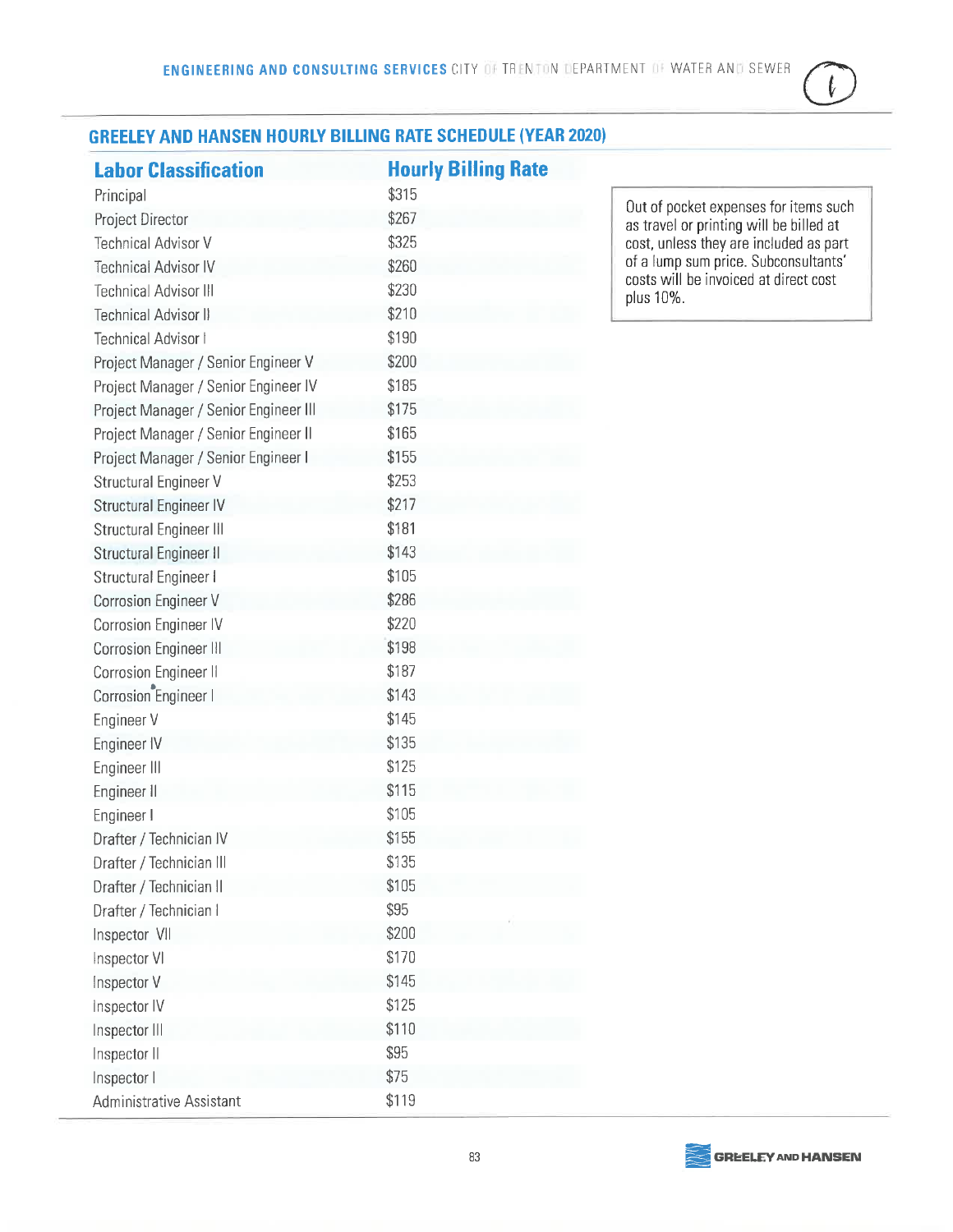### ŀ

#### **GREELEY AND HANSEN HOURLY BILLING RATE SCHEDULE (YEAR 2020)**

| <b>Labor Classification</b>           | <b>Hourly Billing Rate</b> |
|---------------------------------------|----------------------------|
| Principal                             | \$315                      |
| Project Director                      | \$267                      |
| <b>Technical Advisor V</b>            | \$325                      |
| <b>Technical Advisor IV</b>           | \$260                      |
| <b>Technical Advisor III</b>          | \$230                      |
| Technical Advisor II                  | \$210                      |
| Technical Advisor I                   | \$190                      |
| Project Manager / Senior Engineer V   | \$200                      |
| Project Manager / Senior Engineer IV  | \$185                      |
| Project Manager / Senior Engineer III | \$175                      |
| Project Manager / Senior Engineer II  | \$165                      |
| Project Manager / Senior Engineer I   | \$155                      |
| Structural Engineer V                 | \$253                      |
| Structural Engineer IV                | \$217                      |
| Structural Engineer III               | \$181                      |
| Structural Engineer II                | \$143                      |
| Structural Engineer I                 | \$105                      |
| Corrosion Engineer V                  | \$286                      |
| Corrosion Engineer IV                 | \$220                      |
| Corrosion Engineer III                | \$198                      |
| Corrosion Engineer II                 | \$187                      |
| Corrosion Engineer I                  | \$143                      |
| Engineer V                            | \$145                      |
| Engineer IV                           | \$135                      |
| Engineer III                          | \$125                      |
| Engineer II                           | \$115                      |
| Engineer I                            | \$105                      |
| Drafter / Technician IV               | \$155                      |
| Drafter / Technician III              | \$135                      |
| Drafter / Technician II               | \$105                      |
| Drafter / Technician I                | \$95                       |
| Inspector VII                         | \$200                      |
| Inspector VI                          | \$170                      |
| Inspector V                           | \$145                      |
| Inspector IV                          | \$125                      |
| Inspector III                         | \$110                      |
| Inspector II                          | \$95                       |
| Inspector I                           | \$75                       |
| <b>Administrative Assistant</b>       | \$119                      |

Out of pocket expenses for items such<br>as travel or printing will be billed at<br>cost, unless they are included as part<br>of a lump sum price. Subconsultants' costs will be invoiced at direct cost plus 10%.

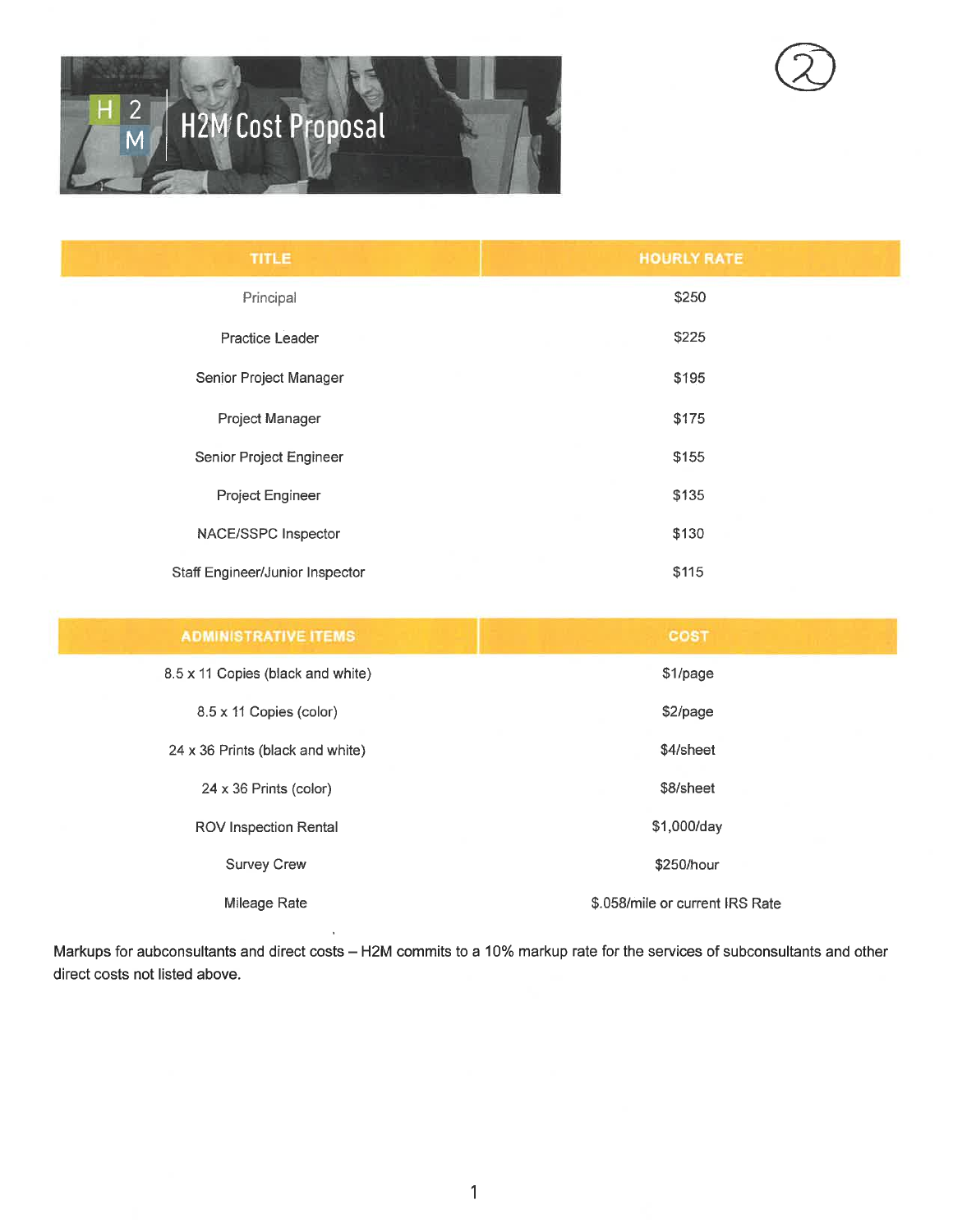## $\overline{c}$ **H2M** Cost Proposal

| <b>TITLE</b>                    | <b>HOURLY RATE</b> |
|---------------------------------|--------------------|
| Principal                       | \$250              |
| Practice Leader                 | \$225              |
| Senior Project Manager          | \$195              |
| Project Manager                 | \$175              |
| Senior Project Engineer         | \$155              |
| Project Engineer                | \$135              |
| NACE/SSPC Inspector             | \$130              |
| Staff Engineer/Junior Inspector | \$115              |

| <b>ADMINISTRATIVE ITEMS</b>       | <b>COST</b>                     |
|-----------------------------------|---------------------------------|
| 8.5 x 11 Copies (black and white) | \$1/page                        |
| 8.5 x 11 Copies (color)           | \$2/page                        |
| 24 x 36 Prints (black and white)  | \$4/sheet                       |
| $24 \times 36$ Prints (color)     | \$8/sheet                       |
| ROV Inspection Rental             | \$1,000/day                     |
| <b>Survey Crew</b>                | \$250/hour                      |
| Mileage Rate                      | \$.058/mile or current IRS Rate |

Markups for aubconsultants and direct costs - H2M commits to a 10% markup rate for the services of subconsultants and other direct costs not listed above.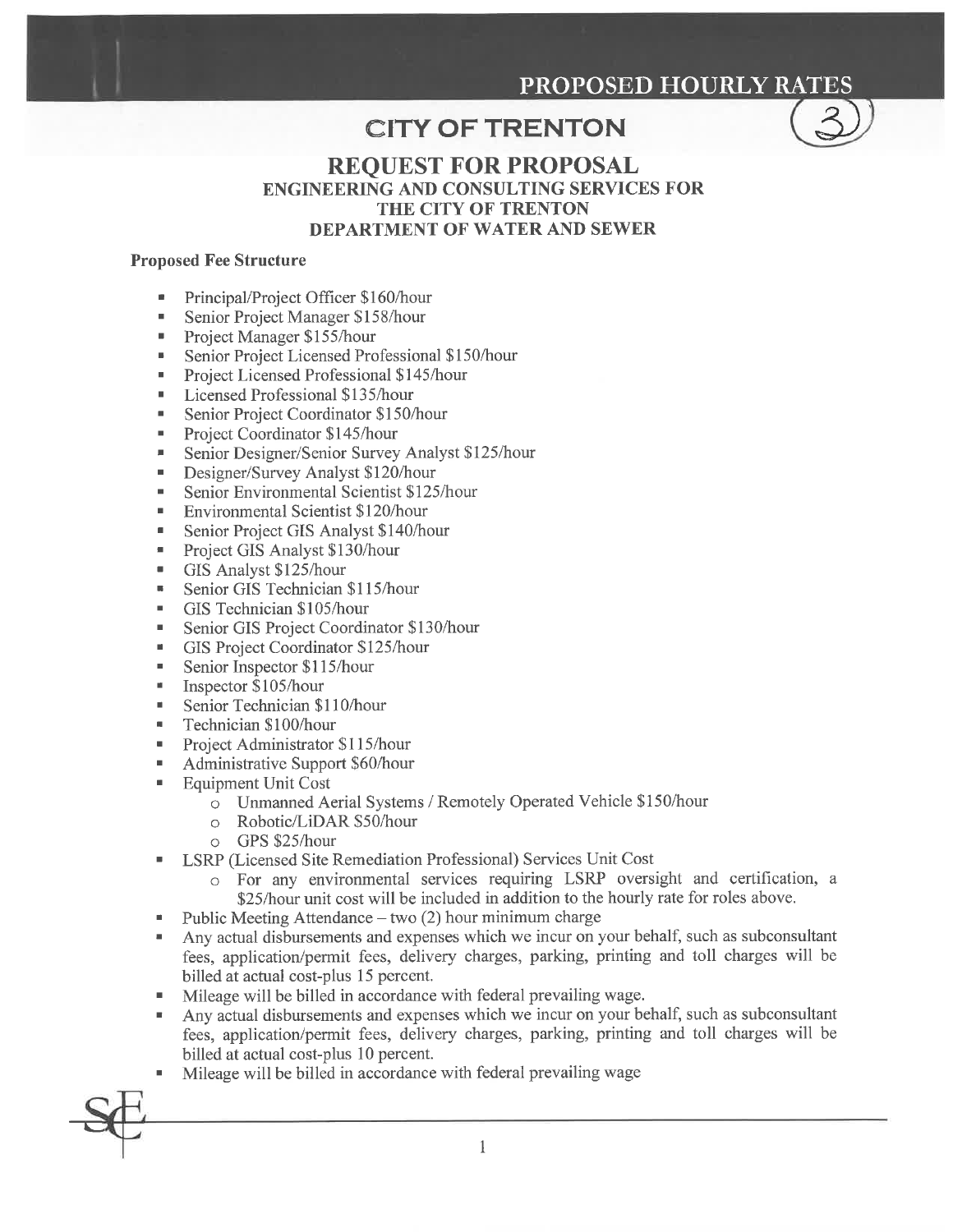#### **PROPOSED HOURLY RATES**

#### **CITY OF TRENTON**



#### **REOUEST FOR PROPOSAL ENGINEERING AND CONSULTING SERVICES FOR THE CITY OF TRENTON DEPARTMENT OF WATER AND SEWER**

#### **Proposed Fee Structure**

- $\blacksquare$ Principal/Project Officer \$160/hour
- Senior Project Manager \$158/hour  $\blacksquare$
- Project Manager \$155/hour  $\blacksquare$
- Senior Project Licensed Professional \$150/hour ×
- Project Licensed Professional \$145/hour
- Licensed Professional \$135/hour  $\blacksquare$
- Senior Project Coordinator \$150/hour  $\blacksquare$
- Project Coordinator \$145/hour  $\blacksquare$
- Senior Designer/Senior Survey Analyst \$125/hour  $\blacksquare$
- Designer/Survey Analyst \$120/hour  $\blacksquare$
- Senior Environmental Scientist \$125/hour  $\blacksquare$
- Environmental Scientist \$120/hour  $\blacksquare$
- Senior Project GIS Analyst \$140/hour
- Project GIS Analyst \$130/hour  $\blacksquare$
- GIS Analyst \$125/hour  $\blacksquare$
- $\blacksquare$ Senior GIS Technician \$115/hour
- GIS Technician \$105/hour
- Senior GIS Project Coordinator \$130/hour ×
- GIS Project Coordinator \$125/hour  $\blacksquare$
- Senior Inspector \$115/hour  $\blacksquare$
- Inspector \$105/hour  $\mathbf{u}$
- Senior Technician \$110/hour  $\blacksquare$
- Technician \$100/hour  $\blacksquare$
- Project Administrator \$115/hour
- Administrative Support \$60/hour  $\blacksquare$
- **Equipment Unit Cost**  $\blacksquare$ 
	- o Unmanned Aerial Systems / Remotely Operated Vehicle \$150/hour
	- o Robotic/LiDAR \$50/hour
	- o GPS \$25/hour
- LSRP (Licensed Site Remediation Professional) Services Unit Cost
	- o For any environmental services requiring LSRP oversight and certification, a \$25/hour unit cost will be included in addition to the hourly rate for roles above.
- Public Meeting Attendance two (2) hour minimum charge
- Any actual disbursements and expenses which we incur on your behalf, such as subconsultant fees, application/permit fees, delivery charges, parking, printing and toll charges will be billed at actual cost-plus 15 percent.
- Mileage will be billed in accordance with federal prevailing wage.
- Any actual disbursements and expenses which we incur on your behalf, such as subconsultant fees, application/permit fees, delivery charges, parking, printing and toll charges will be billed at actual cost-plus 10 percent.

 $\mathbf{1}$ 

Mileage will be billed in accordance with federal prevailing wage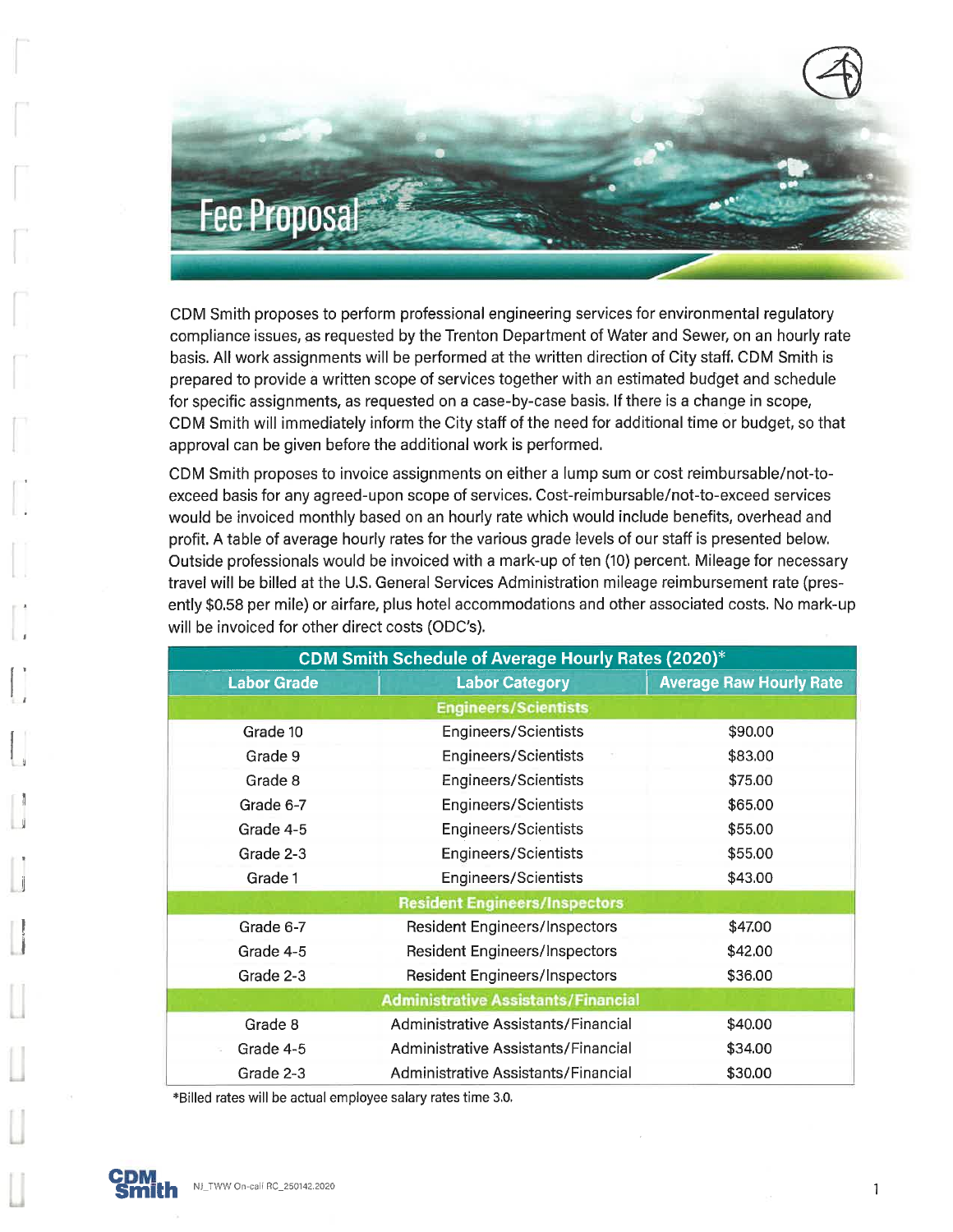

CDM Smith proposes to perform professional engineering services for environmental regulatory compliance issues, as requested by the Trenton Department of Water and Sewer, on an hourly rate basis. All work assignments will be performed at the written direction of City staff. CDM Smith is prepared to provide a written scope of services together with an estimated budget and schedule for specific assignments, as requested on a case-by-case basis. If there is a change in scope, CDM Smith will immediately inform the City staff of the need for additional time or budget, so that approval can be given before the additional work is performed.

CDM Smith proposes to invoice assignments on either a lump sum or cost reimbursable/not-toexceed basis for any agreed-upon scope of services. Cost-reimbursable/not-to-exceed services would be invoiced monthly based on an hourly rate which would include benefits, overhead and profit. A table of average hourly rates for the various grade levels of our staff is presented below. Outside professionals would be invoiced with a mark-up of ten (10) percent. Mileage for necessary travel will be billed at the U.S. General Services Administration mileage reimbursement rate (presently \$0.58 per mile) or airfare, plus hotel accommodations and other associated costs. No mark-up will be invoiced for other direct costs (ODC's).

| <b>CDM Smith Schedule of Average Hourly Rates (2020)*</b> |                                      |                                |  |  |  |  |
|-----------------------------------------------------------|--------------------------------------|--------------------------------|--|--|--|--|
| <b>Labor Grade</b>                                        | <b>Labor Category</b>                | <b>Average Raw Hourly Rate</b> |  |  |  |  |
|                                                           | <b>Engineers/Scientists</b>          |                                |  |  |  |  |
| Grade 10                                                  | Engineers/Scientists                 | \$90.00                        |  |  |  |  |
| Grade 9                                                   | <b>Engineers/Scientists</b>          | \$83.00                        |  |  |  |  |
| Grade 8                                                   | <b>Engineers/Scientists</b>          | \$75.00                        |  |  |  |  |
| Grade 6-7                                                 | <b>Engineers/Scientists</b>          | \$65.00                        |  |  |  |  |
| Grade 4-5                                                 | <b>Engineers/Scientists</b>          | \$55.00                        |  |  |  |  |
| Grade 2-3                                                 | <b>Engineers/Scientists</b>          | \$55.00                        |  |  |  |  |
| Grade 1                                                   | <b>Engineers/Scientists</b>          | \$43.00                        |  |  |  |  |
|                                                           | <b>Resident Engineers/Inspectors</b> |                                |  |  |  |  |
| Grade 6-7                                                 | <b>Resident Engineers/Inspectors</b> | \$47.00                        |  |  |  |  |
| Grade 4-5                                                 | <b>Resident Engineers/Inspectors</b> | \$42.00                        |  |  |  |  |
| Grade 2-3                                                 | <b>Resident Engineers/Inspectors</b> | \$36.00                        |  |  |  |  |
| <b>Administrative Assistants/Financial</b>                |                                      |                                |  |  |  |  |
| Grade 8                                                   | Administrative Assistants/Financial  | \$40.00                        |  |  |  |  |
| Grade 4-5                                                 | Administrative Assistants/Financial  | \$34.00                        |  |  |  |  |
| Grade 2-3                                                 | Administrative Assistants/Financial  | \$30.00                        |  |  |  |  |

\*Billed rates will be actual employee salary rates time 3.0.



 $\mathbf{1}$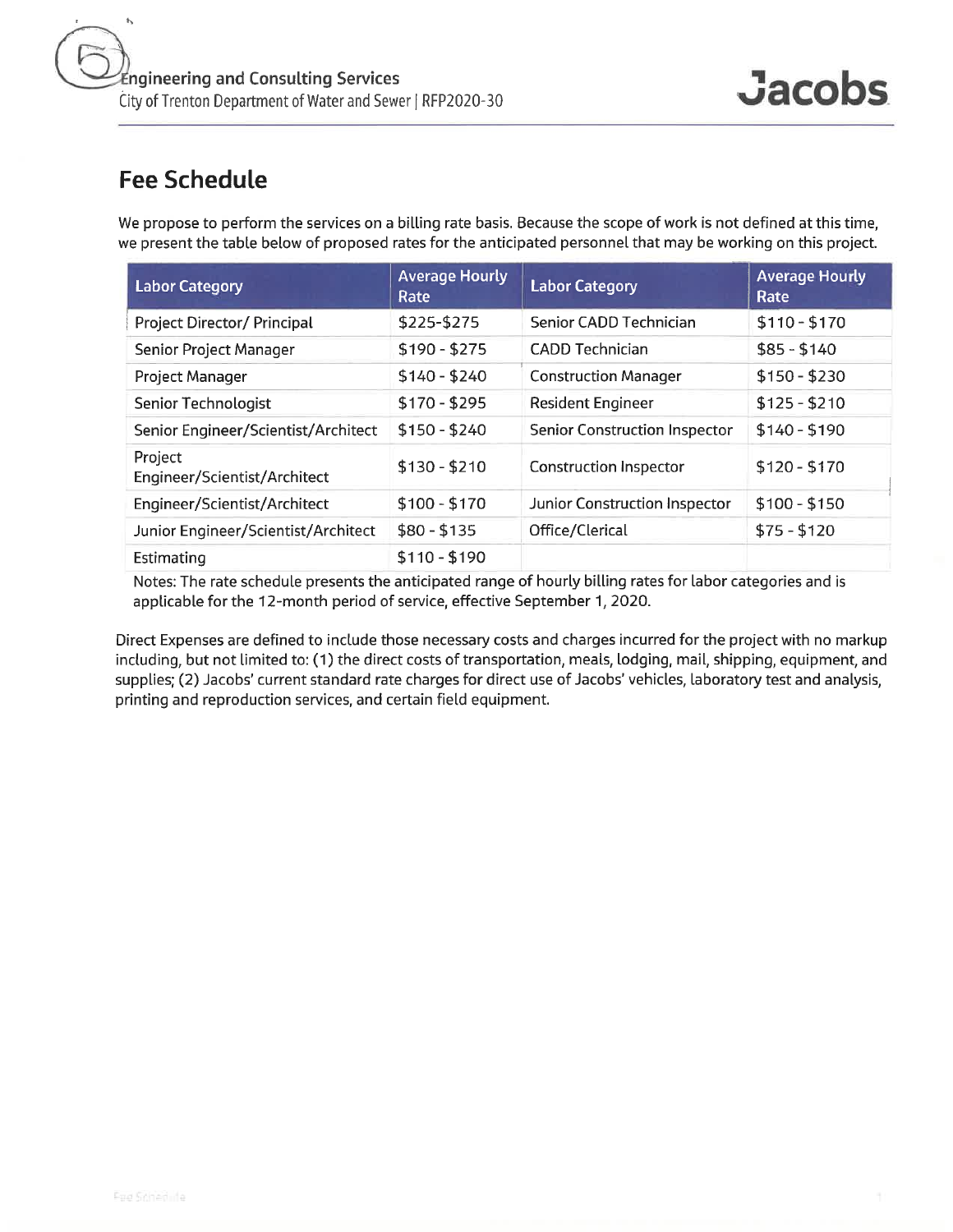We propose to perform the services on a billing rate basis. Because the scope of work is not defined at this time, we present the table below of proposed rates for the anticipated personnel that may be working on this project.

| <b>Labor Category</b>                   | <b>Average Hourly</b><br>Rate | <b>Labor Category</b>                | <b>Average Hourly</b><br>Rate |
|-----------------------------------------|-------------------------------|--------------------------------------|-------------------------------|
| Project Director/ Principal             | \$225-\$275                   | Senior CADD Technician               | $$110 - $170$                 |
| Senior Project Manager                  | $$190 - $275$                 | <b>CADD Technician</b>               | $$85 - $140$                  |
| Project Manager                         | $$140 - $240$                 | <b>Construction Manager</b>          | $$150 - $230$                 |
| Senior Technologist                     | $$170 - $295$                 | <b>Resident Engineer</b>             | $$125 - $210$                 |
| Senior Engineer/Scientist/Architect     | $$150 - $240$                 | <b>Senior Construction Inspector</b> | $$140 - $190$                 |
| Project<br>Engineer/Scientist/Architect | $$130 - $210$                 | <b>Construction Inspector</b>        | $$120 - $170$                 |
| Engineer/Scientist/Architect            | $$100 - $170$                 | Junior Construction Inspector        | $$100 - $150$                 |
| Junior Engineer/Scientist/Architect     | $$80 - $135$                  | Office/Clerical                      | $$75 - $120$                  |
| Estimating                              | $$110 - $190$                 |                                      |                               |

Notes: The rate schedule presents the anticipated range of hourly billing rates for labor categories and is applicable for the 12-month period of service, effective September 1, 2020.

Direct Expenses are defined to include those necessary costs and charges incurred for the project with no markup including, but not limited to: (1) the direct costs of transportation, meals, lodging, mail, shipping, equipment, and supplies; (2) Jacobs' current standard rate charges for direct use of Jacobs' vehicles, laboratory test and analysis, printing and reproduction services, and certain field equipment.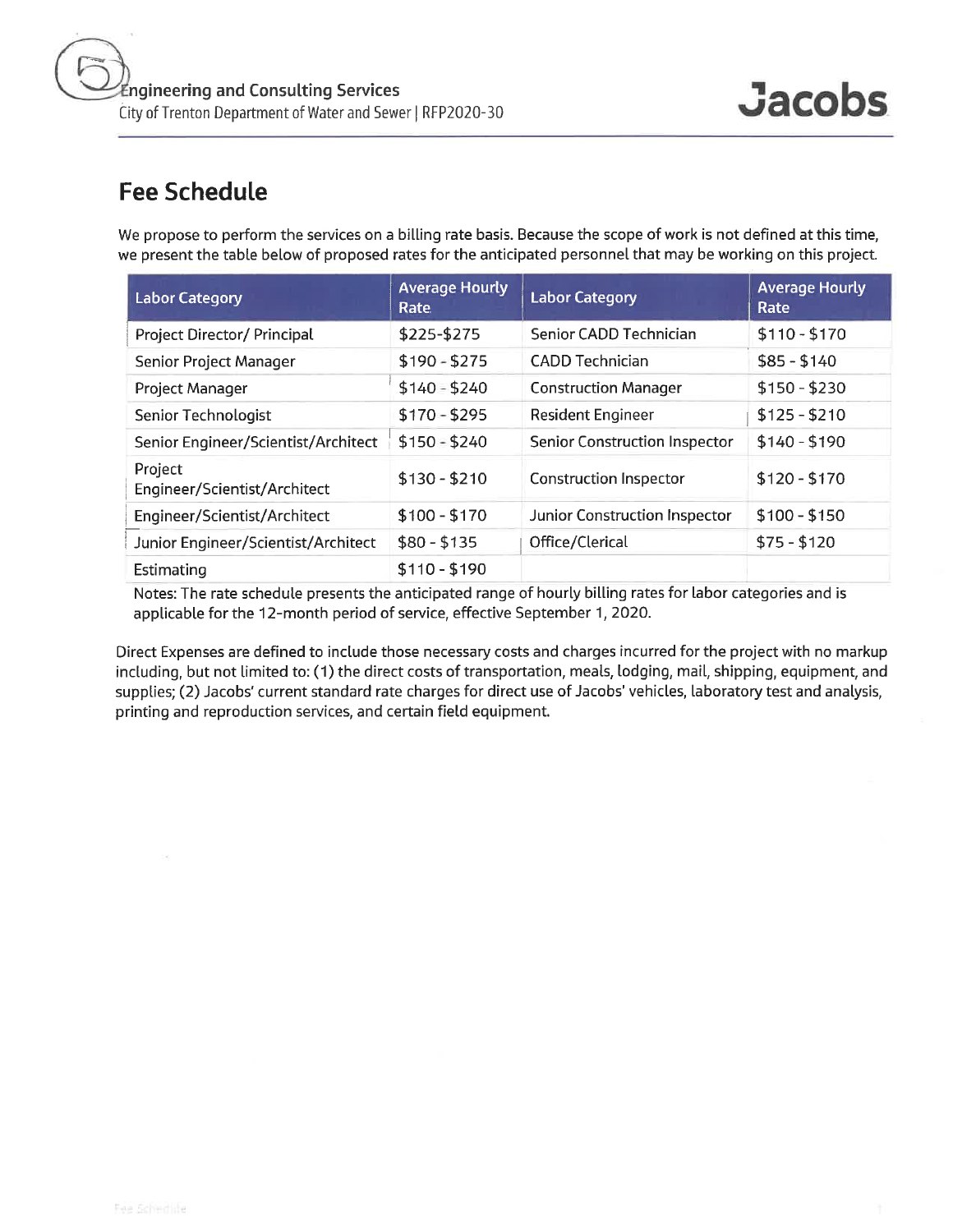We propose to perform the services on a billing rate basis. Because the scope of work is not defined at this time, we present the table below of proposed rates for the anticipated personnel that may be working on this project.

| <b>Labor Category</b>                   | <b>Average Hourly</b><br>Rate | <b>Labor Category</b>                | <b>Average Hourly</b><br>Rate |
|-----------------------------------------|-------------------------------|--------------------------------------|-------------------------------|
| <b>Project Director/ Principal</b>      | \$225-\$275                   | Senior CADD Technician               | $$110 - $170$                 |
| Senior Project Manager                  | $$190 - $275$                 | <b>CADD Technician</b>               | $$85 - $140$                  |
| Project Manager                         | $$140 - $240$                 | <b>Construction Manager</b>          | $$150 - $230$                 |
| Senior Technologist                     | $$170 - $295$                 | <b>Resident Engineer</b>             | $$125 - $210$                 |
| Senior Engineer/Scientist/Architect     | $$150 - $240$                 | <b>Senior Construction Inspector</b> | $$140 - $190$                 |
| Project<br>Engineer/Scientist/Architect | $$130 - $210$                 | <b>Construction Inspector</b>        | $$120 - $170$                 |
| Engineer/Scientist/Architect            | $$100 - $170$                 | Junior Construction Inspector        | $$100 - $150$                 |
| Junior Engineer/Scientist/Architect     | $$80 - $135$                  | Office/Clerical                      | $$75 - $120$                  |
| Estimating                              | $$110 - $190$                 |                                      |                               |

Notes: The rate schedule presents the anticipated range of hourly billing rates for labor categories and is applicable for the 12-month period of service, effective September 1, 2020.

Direct Expenses are defined to include those necessary costs and charges incurred for the project with no markup including, but not limited to: (1) the direct costs of transportation, meals, lodging, mail, shipping, equipment, and supplies; (2) Jacobs' current standard rate charges for direct use of Jacobs' vehicles, laboratory test and analysis, printing and reproduction services, and certain field equipment.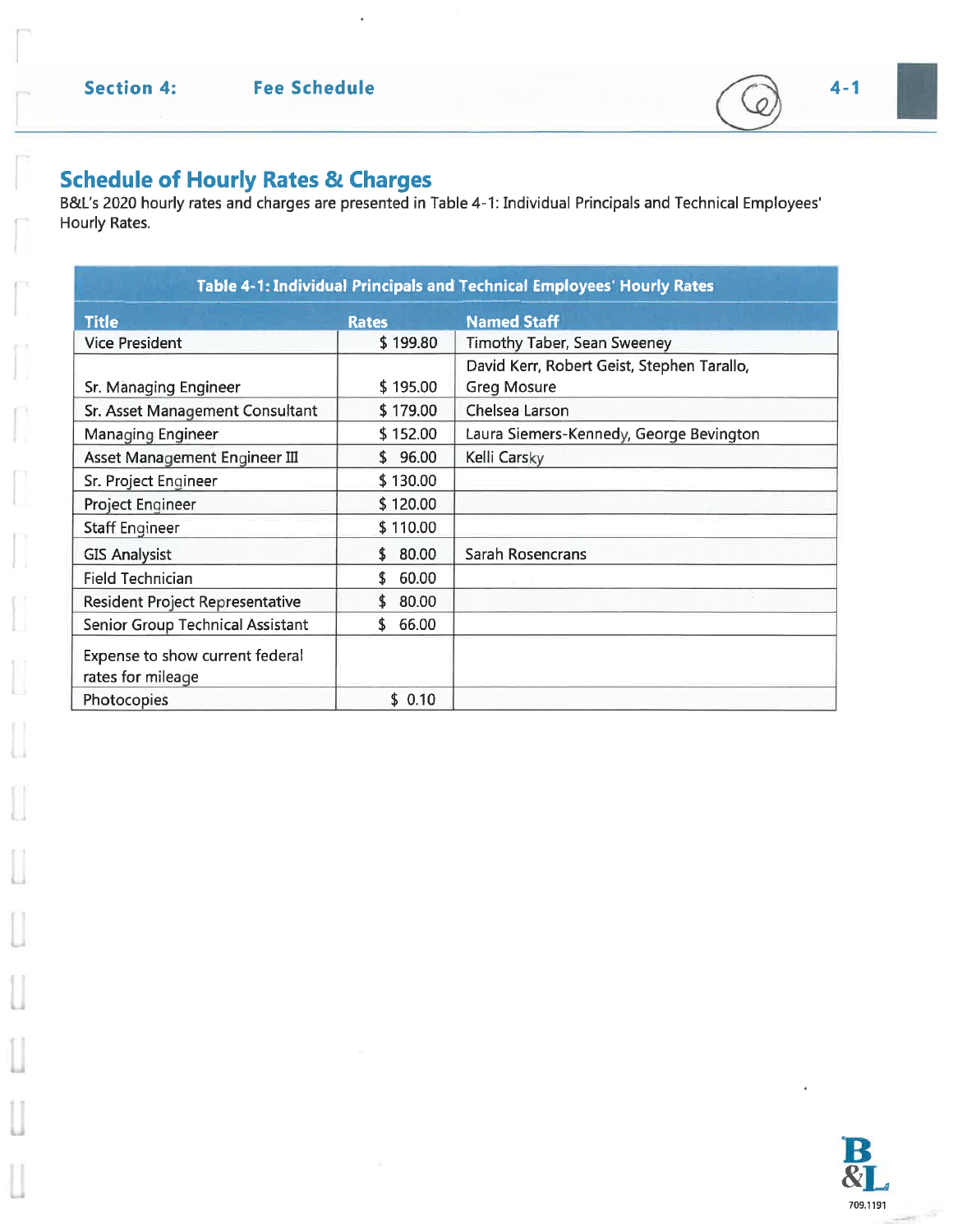$\overline{O}$ 

Schedule of Hourly Rates & Charges<br>B&L's 2020 hourly rates and charges are presented in Table 4-1: Individual Principals and Technical Employees' Hourly Rates.

| Table 4-1: Individual Principals and Technical Employees' Hourly Rates |              |                                                                  |  |  |  |
|------------------------------------------------------------------------|--------------|------------------------------------------------------------------|--|--|--|
| <b>Title</b>                                                           | <b>Rates</b> | <b>Named Staff</b>                                               |  |  |  |
| <b>Vice President</b>                                                  | \$199.80     | <b>Timothy Taber, Sean Sweeney</b>                               |  |  |  |
| Sr. Managing Engineer                                                  | \$195.00     | David Kerr, Robert Geist, Stephen Tarallo,<br><b>Greg Mosure</b> |  |  |  |
| Sr. Asset Management Consultant                                        | \$179.00     | Chelsea Larson                                                   |  |  |  |
| Managing Engineer                                                      | \$152.00     | Laura Siemers-Kennedy, George Bevington                          |  |  |  |
| Asset Management Engineer III                                          | \$96.00      | Kelli Carsky                                                     |  |  |  |
| Sr. Project Engineer                                                   | \$130.00     |                                                                  |  |  |  |
| Project Engineer                                                       | \$120.00     |                                                                  |  |  |  |
| <b>Staff Engineer</b>                                                  | \$110.00     |                                                                  |  |  |  |
| <b>GIS Analysist</b>                                                   | 80.00<br>\$. | <b>Sarah Rosencrans</b>                                          |  |  |  |
| <b>Field Technician</b>                                                | 60.00<br>\$  |                                                                  |  |  |  |
| <b>Resident Project Representative</b>                                 | 80.00        |                                                                  |  |  |  |
| <b>Senior Group Technical Assistant</b>                                | 66.00<br>\$  |                                                                  |  |  |  |
| Expense to show current federal<br>rates for mileage                   |              |                                                                  |  |  |  |
| Photocopies                                                            | \$0.10       |                                                                  |  |  |  |

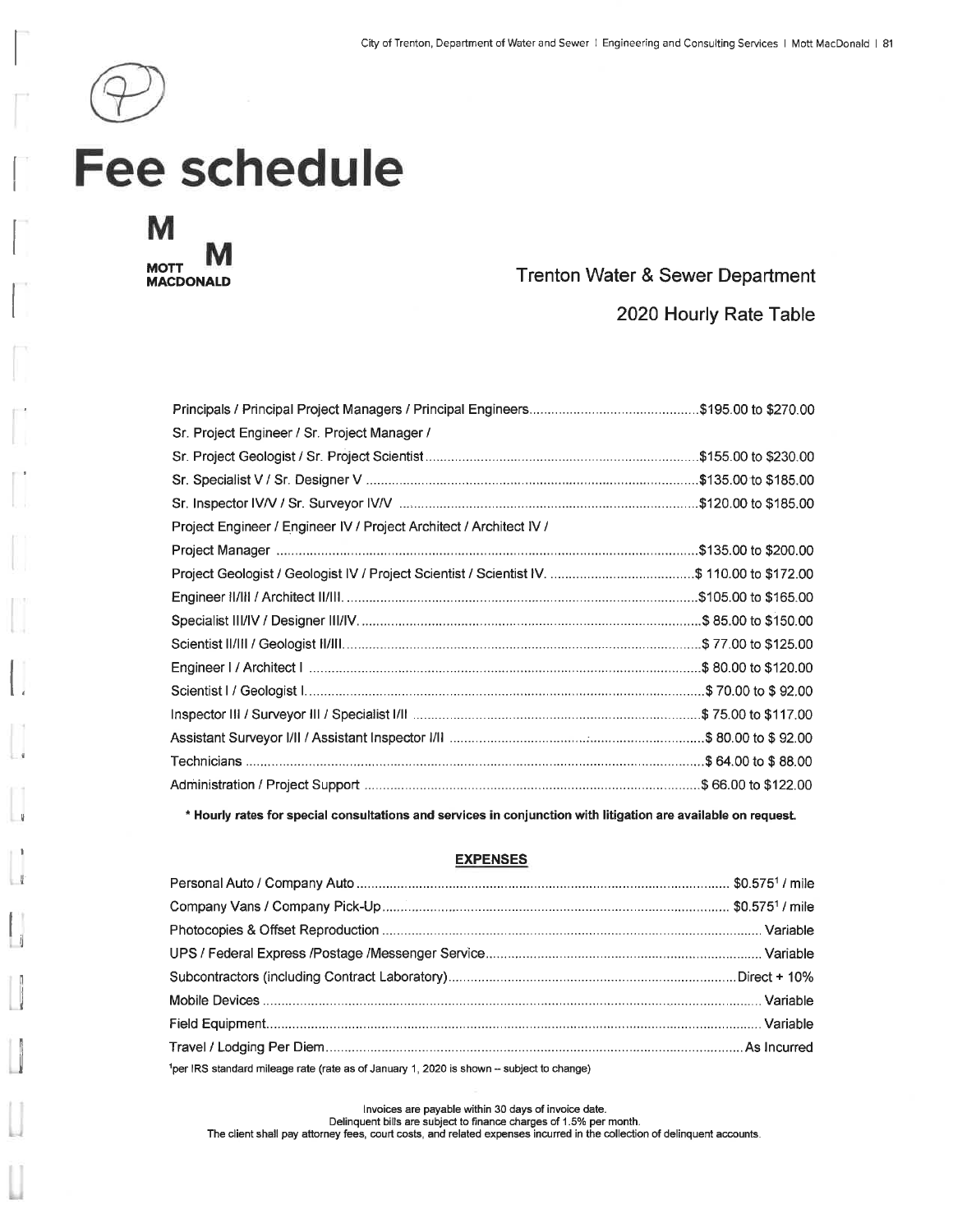



#### Trenton Water & Sewer Department

2020 Hourly Rate Table

| \$135.00 to \$200.00                                                                       |
|--------------------------------------------------------------------------------------------|
| Project Geologist / Geologist IV / Project Scientist / Scientist IV. \$ 110.00 to \$172.00 |
|                                                                                            |
|                                                                                            |
|                                                                                            |
|                                                                                            |
|                                                                                            |
|                                                                                            |
|                                                                                            |
|                                                                                            |
|                                                                                            |
|                                                                                            |

\* Hourly rates for special consultations and services in conjunction with litigation are available on request.

#### **EXPENSES**

| <sup>1</sup> per IRS standard mileage rate (rate as of January 1, 2020 is shown - subject to change) |  |
|------------------------------------------------------------------------------------------------------|--|

Invoices are payable within 30 days of invoice date. Delinquent bills are subject to finance charges of 1.5% per month. The client shall pay attorney fees, court costs, and related expenses incurred in the collection of delinquent accounts.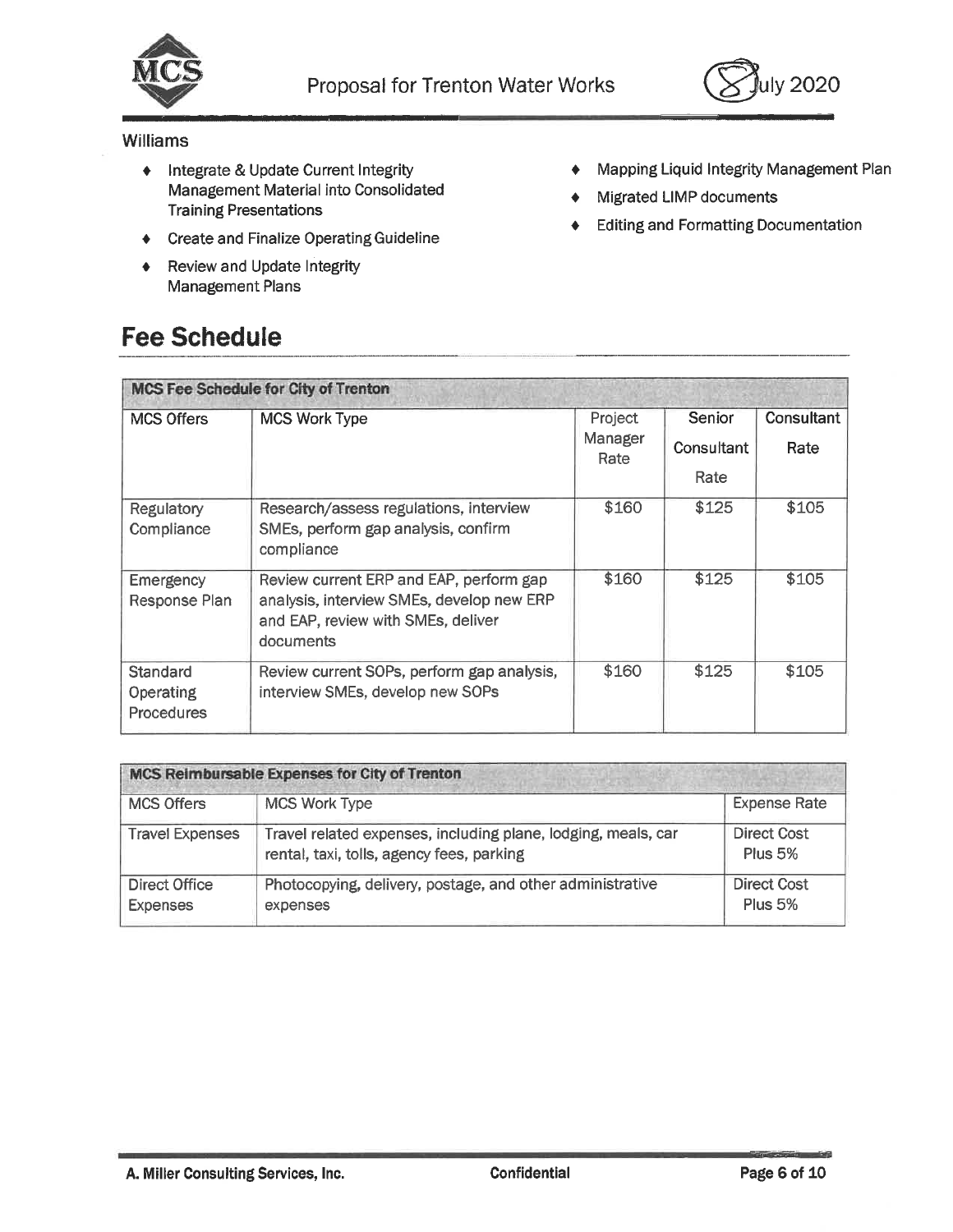



#### Williams

- ♦ Integrate & Update Current Integrity Management Material into Consolidated **Training Presentations**
- Create and Finalize Operating Guideline
- Review and Update Integrity  $\ddot{\bullet}$ Management Plans

### **Fee Schedule**

- Mapping Liquid Integrity Management Plan ٠
- Migrated LIMP documents ٠
- **Editing and Formatting Documentation** ٠

| <b>MCS Fee Schedule for City of Trenton</b>       |                                                                                                                                         |                            |                              |                    |  |  |  |
|---------------------------------------------------|-----------------------------------------------------------------------------------------------------------------------------------------|----------------------------|------------------------------|--------------------|--|--|--|
| <b>MCS Offers</b>                                 | <b>MCS Work Type</b>                                                                                                                    | Project<br>Manager<br>Rate | Senior<br>Consultant<br>Rate | Consultant<br>Rate |  |  |  |
| Regulatory<br>Compliance                          | Research/assess regulations, interview<br>SMEs, perform gap analysis, confirm<br>compliance                                             | \$160                      | \$125                        | \$105              |  |  |  |
| <b>Emergency</b><br>Response Plan                 | Review current ERP and EAP, perform gap<br>analysis, interview SMEs, develop new ERP<br>and EAP, review with SMEs, deliver<br>documents | \$160                      | \$125                        | \$105              |  |  |  |
| Standard<br><b>Operating</b><br><b>Procedures</b> | Review current SOPs, perform gap analysis,<br>interview SMEs, develop new SOPs                                                          | \$160                      | \$125                        | \$105              |  |  |  |

| MCS Reimbursable Expenses for City of Trenton |                                                                                                            |                                      |  |  |  |
|-----------------------------------------------|------------------------------------------------------------------------------------------------------------|--------------------------------------|--|--|--|
| <b>MCS Offers</b>                             | <b>MCS Work Type</b>                                                                                       | <b>Expense Rate</b>                  |  |  |  |
| <b>Travel Expenses</b>                        | Travel related expenses, including plane, lodging, meals, car<br>rental, taxi, tolls, agency fees, parking | Direct Cost<br>Plus 5%               |  |  |  |
| Direct Office<br><b>Expenses</b>              | Photocopying, delivery, postage, and other administrative<br>expenses                                      | <b>Direct Cost</b><br><b>Plus 5%</b> |  |  |  |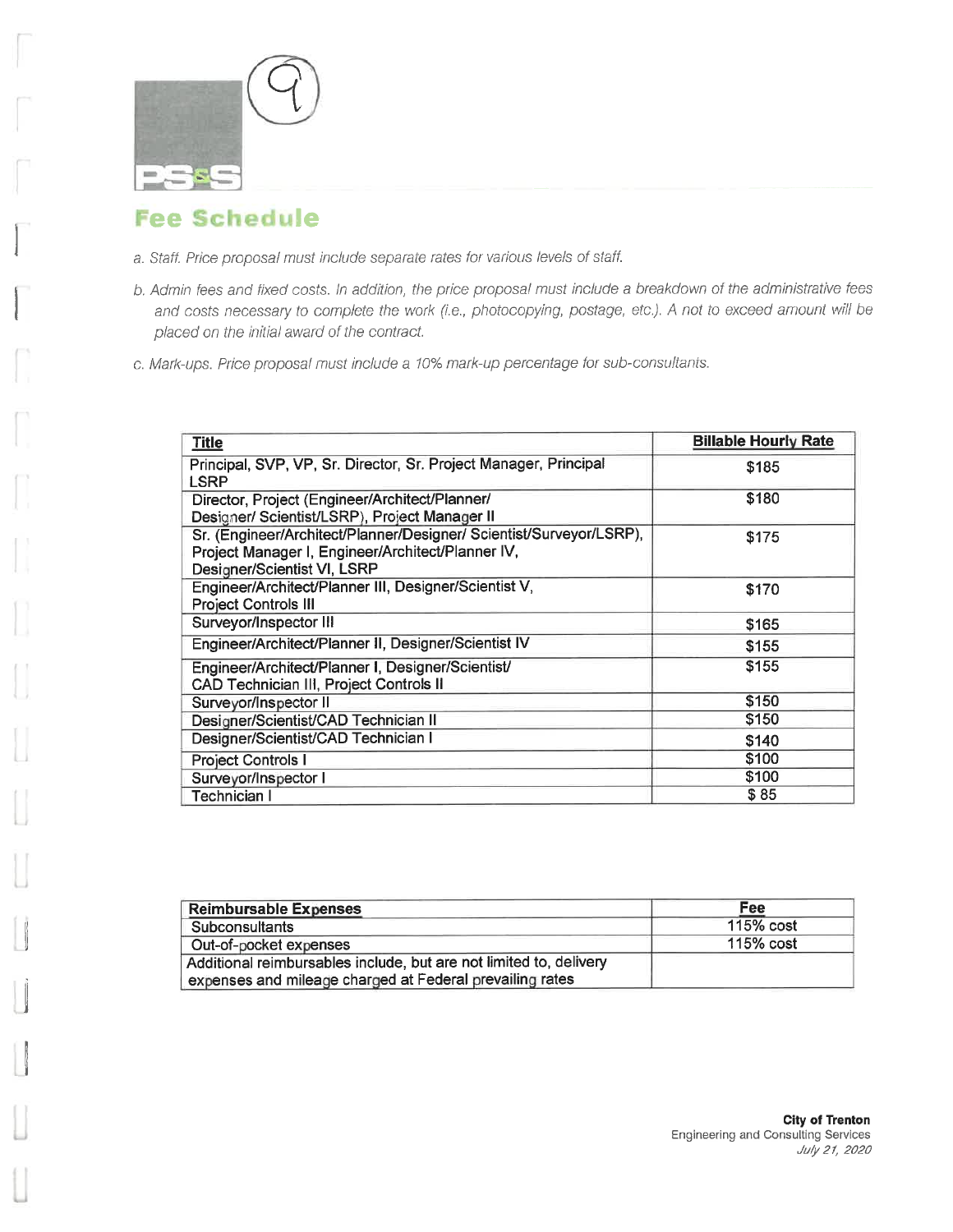

- a. Staff. Price proposal must include separate rates for various levels of staff.
- b. Admin fees and fixed costs. In addition, the price proposal must include a breakdown of the administrative fees and costs necessary to complete the work (i.e., photocopying, postage, etc.). A not to exceed amount will be placed on the initial award of the contract.
- c. Mark-ups. Price proposal must include a 10% mark-up percentage for sub-consultants.

| <b>Title</b>                                                                                                                                            | <b>Billable Hourly Rate</b> |
|---------------------------------------------------------------------------------------------------------------------------------------------------------|-----------------------------|
| Principal, SVP, VP, Sr. Director, Sr. Project Manager, Principal<br>LSRP                                                                                | \$185                       |
| Director, Project (Engineer/Architect/Planner/<br>Designer/ Scientist/LSRP), Project Manager II                                                         | \$180                       |
| Sr. (Engineer/Architect/Planner/Designer/ Scientist/Surveyor/LSRP),<br>Project Manager I, Engineer/Architect/Planner IV,<br>Designer/Scientist VI, LSRP | \$175                       |
| Engineer/Architect/Planner III, Designer/Scientist V,<br><b>Project Controls III</b>                                                                    | \$170                       |
| Surveyor/Inspector III                                                                                                                                  | \$165                       |
| Engineer/Architect/Planner II, Designer/Scientist IV                                                                                                    | \$155                       |
| Engineer/Architect/Planner I, Designer/Scientist/<br>CAD Technician III, Project Controls II                                                            | \$155                       |
| Surveyor/Inspector II                                                                                                                                   | \$150                       |
| Designer/Scientist/CAD Technician II                                                                                                                    | \$150                       |
| Designer/Scientist/CAD Technician I                                                                                                                     | \$140                       |
| <b>Project Controls I</b>                                                                                                                               | \$100                       |
| Surveyor/Inspector I                                                                                                                                    | \$100                       |
| Technician I                                                                                                                                            | \$85                        |

| <b>Reimbursable Expenses</b>                                                                                                   | Fee       |
|--------------------------------------------------------------------------------------------------------------------------------|-----------|
| Subconsultants                                                                                                                 | 115% cost |
| Out-of-pocket expenses                                                                                                         | 115% cost |
| Additional reimbursables include, but are not limited to, delivery<br>expenses and mileage charged at Federal prevailing rates |           |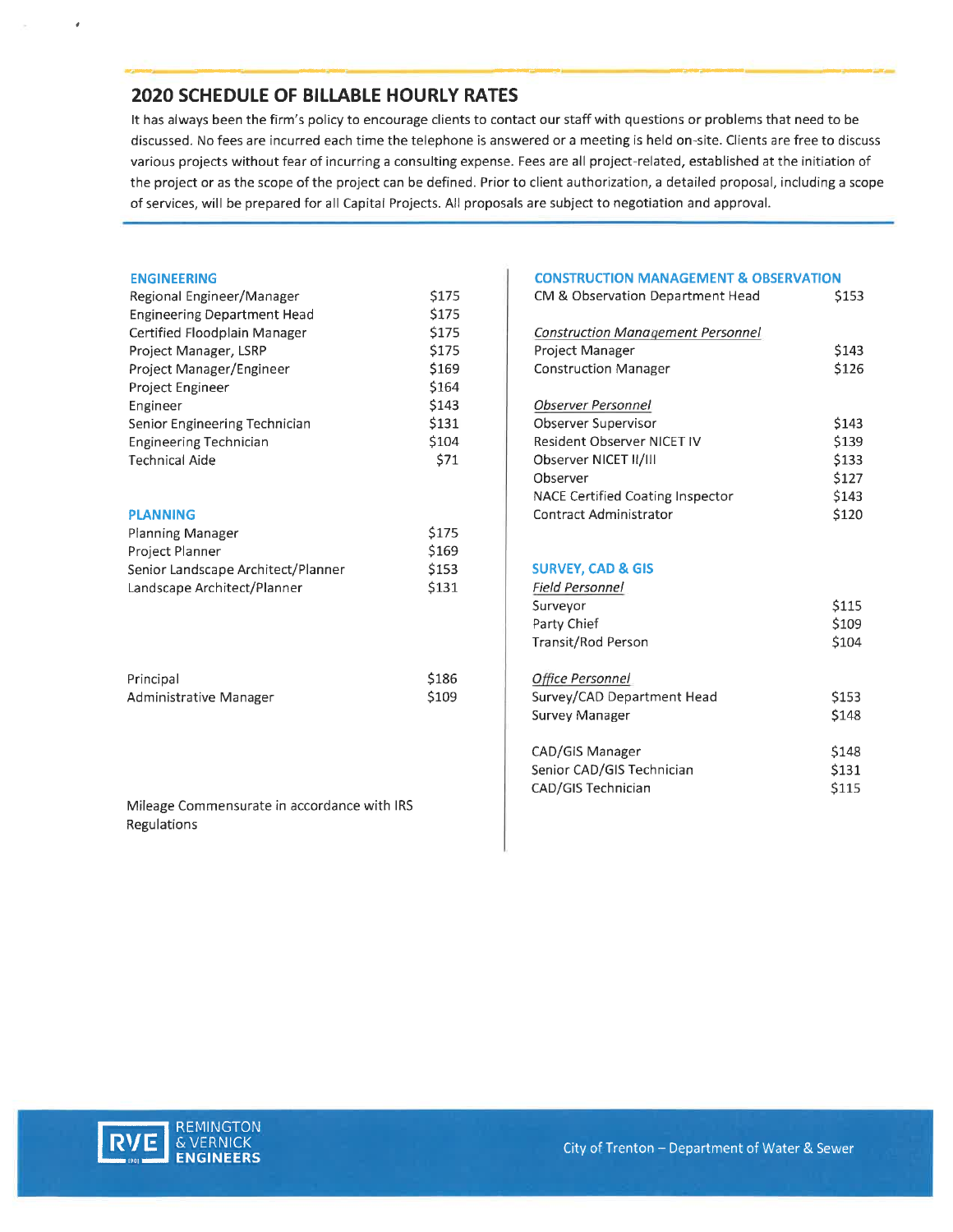#### **2020 SCHEDULE OF BILLABLE HOURLY RATES**

It has always been the firm's policy to encourage clients to contact our staff with questions or problems that need to be discussed. No fees are incurred each time the telephone is answered or a meeting is held on-site. Clients are free to discuss various projects without fear of incurring a consulting expense. Fees are all project-related, established at the initiation of the project or as the scope of the project can be defined. Prior to client authorization, a detailed proposal, including a scope of services, will be prepared for all Capital Projects. All proposals are subject to negotiation and approval.

#### **ENGINEERING**

| Regional Engineer/Manager          | \$175      |
|------------------------------------|------------|
| <b>Engineering Department Head</b> | \$175      |
| Certified Floodplain Manager       | \$175      |
| Project Manager, LSRP              | \$175      |
| Project Manager/Engineer           | \$169      |
| Project Engineer                   | \$164      |
| Engineer                           | \$143      |
| Senior Engineering Technician      | \$131      |
| <b>Engineering Technician</b>      | \$104      |
| <b>Technical Aide</b>              | <b>S71</b> |
|                                    |            |

#### **PLANNING**

| Planning Manager<br>Project Planner | \$175<br>S <sub>169</sub> |  |
|-------------------------------------|---------------------------|--|
|                                     |                           |  |
| Landscape Architect/Planner         | \$131                     |  |

| Principal              | \$186 |
|------------------------|-------|
| Administrative Manager | \$109 |

Mileage Commensurate in accordance with IRS Regulations

#### **CONSTRUCTION MANAGEMENT & OBSERVATION**

| CM & Observation Department Head                                                                                                                                                  | \$153                                              |
|-----------------------------------------------------------------------------------------------------------------------------------------------------------------------------------|----------------------------------------------------|
| <b>Construction Management Personnel</b><br>Project Manager<br><b>Construction Manager</b>                                                                                        | \$143<br>\$126                                     |
| Observer Personnel<br>Observer Supervisor<br>Resident Observer NICET IV<br>Observer NICET II/III<br>Observer<br>NACE Certified Coating Inspector<br><b>Contract Administrator</b> | \$143<br>\$139<br>\$133<br>\$127<br>\$143<br>\$120 |

#### **SURVEY, CAD & GIS**

| Field Personnel            |       |
|----------------------------|-------|
| Surveyor                   | \$115 |
| Party Chief                | \$109 |
| Transit/Rod Person         | \$104 |
|                            |       |
| Office Personnel           |       |
| Survey/CAD Department Head | \$153 |
| Survey Manager             | \$148 |
|                            |       |
| CAD/GIS Manager            | \$148 |
| Senior CAD/GIS Technician  | \$131 |
| CAD/GIS Technician         | \$115 |